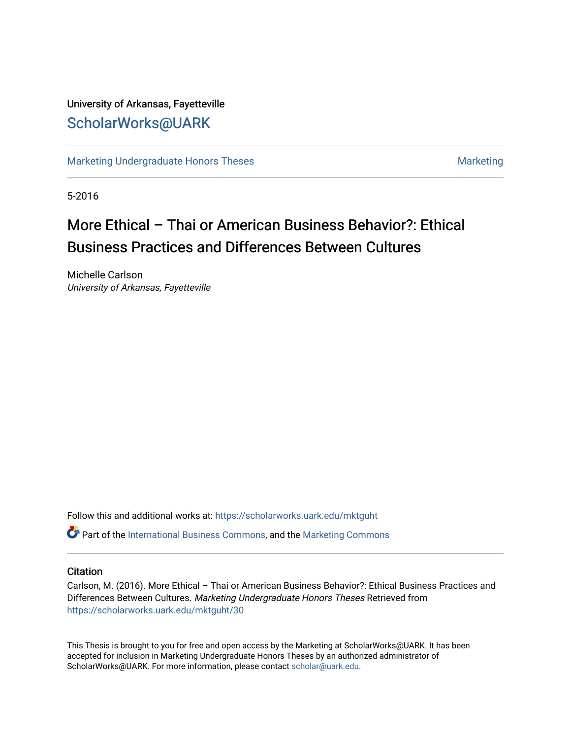## University of Arkansas, Fayetteville [ScholarWorks@UARK](https://scholarworks.uark.edu/)

[Marketing Undergraduate Honors Theses](https://scholarworks.uark.edu/mktguht) [Marketing](https://scholarworks.uark.edu/mktg) Marketing

5-2016

# More Ethical – Thai or American Business Behavior?: Ethical Business Practices and Differences Between Cultures

Michelle Carlson University of Arkansas, Fayetteville

Follow this and additional works at: [https://scholarworks.uark.edu/mktguht](https://scholarworks.uark.edu/mktguht?utm_source=scholarworks.uark.edu%2Fmktguht%2F30&utm_medium=PDF&utm_campaign=PDFCoverPages)

**P** Part of the [International Business Commons,](http://network.bepress.com/hgg/discipline/634?utm_source=scholarworks.uark.edu%2Fmktguht%2F30&utm_medium=PDF&utm_campaign=PDFCoverPages) and the Marketing Commons

#### **Citation**

Carlson, M. (2016). More Ethical – Thai or American Business Behavior?: Ethical Business Practices and Differences Between Cultures. Marketing Undergraduate Honors Theses Retrieved from [https://scholarworks.uark.edu/mktguht/30](https://scholarworks.uark.edu/mktguht/30?utm_source=scholarworks.uark.edu%2Fmktguht%2F30&utm_medium=PDF&utm_campaign=PDFCoverPages) 

This Thesis is brought to you for free and open access by the Marketing at ScholarWorks@UARK. It has been accepted for inclusion in Marketing Undergraduate Honors Theses by an authorized administrator of ScholarWorks@UARK. For more information, please contact [scholar@uark.edu](mailto:scholar@uark.edu).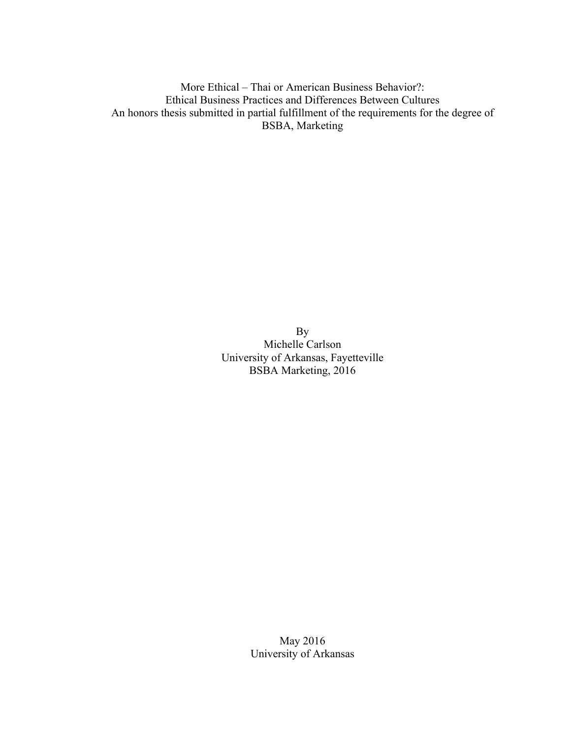More Ethical – Thai or American Business Behavior?: Ethical Business Practices and Differences Between Cultures An honors thesis submitted in partial fulfillment of the requirements for the degree of BSBA, Marketing

> By Michelle Carlson University of Arkansas, Fayetteville BSBA Marketing, 2016

> > May 2016 University of Arkansas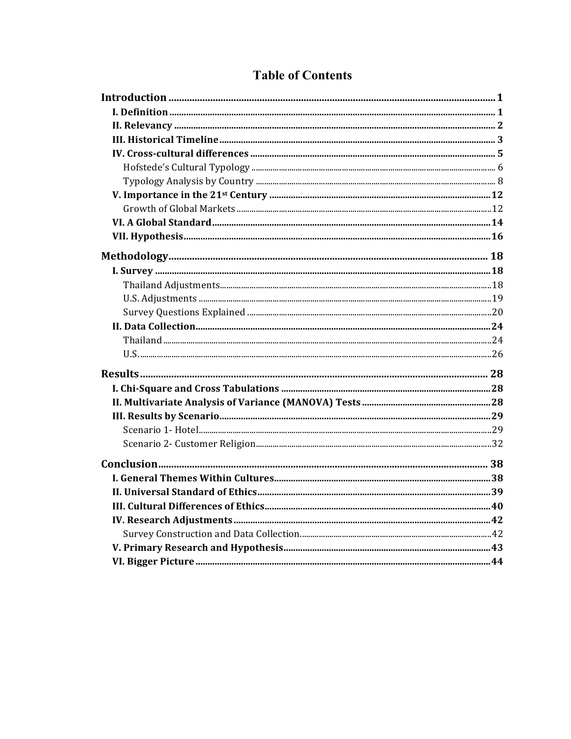## **Table of Contents**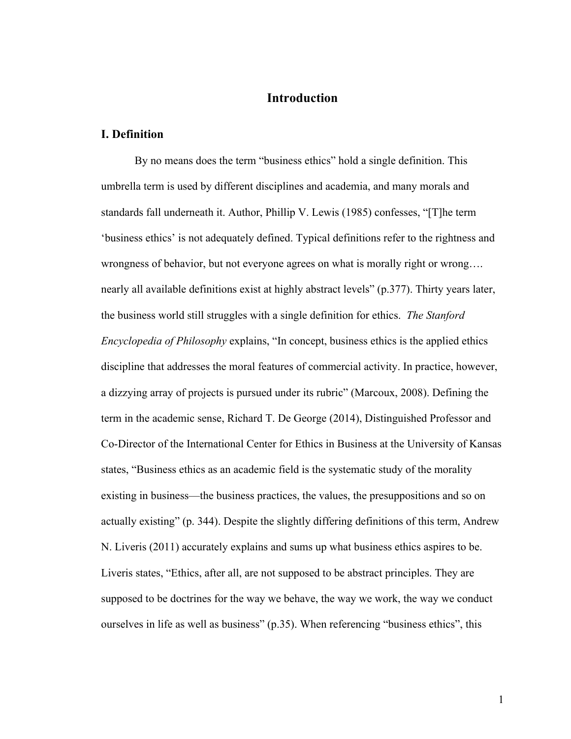## <span id="page-3-0"></span>**Introduction**

#### <span id="page-3-1"></span>**I. Definition**

By no means does the term "business ethics" hold a single definition. This umbrella term is used by different disciplines and academia, and many morals and standards fall underneath it. Author, Phillip V. Lewis (1985) confesses, "[T]he term 'business ethics' is not adequately defined. Typical definitions refer to the rightness and wrongness of behavior, but not everyone agrees on what is morally right or wrong…. nearly all available definitions exist at highly abstract levels" (p.377). Thirty years later, the business world still struggles with a single definition for ethics. *The Stanford Encyclopedia of Philosophy* explains, "In concept, business ethics is the applied ethics discipline that addresses the moral features of commercial activity. In practice, however, a dizzying array of projects is pursued under its rubric" (Marcoux, 2008). Defining the term in the academic sense, Richard T. De George (2014), Distinguished Professor and Co-Director of the International Center for Ethics in Business at the University of Kansas states, "Business ethics as an academic field is the systematic study of the morality existing in business—the business practices, the values, the presuppositions and so on actually existing" (p. 344). Despite the slightly differing definitions of this term, Andrew N. Liveris (2011) accurately explains and sums up what business ethics aspires to be. Liveris states, "Ethics, after all, are not supposed to be abstract principles. They are supposed to be doctrines for the way we behave, the way we work, the way we conduct ourselves in life as well as business" (p.35). When referencing "business ethics", this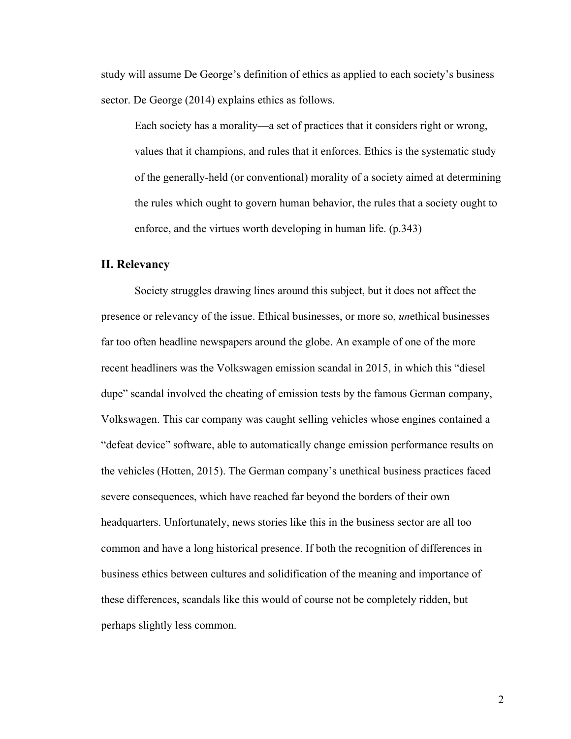study will assume De George's definition of ethics as applied to each society's business sector. De George (2014) explains ethics as follows.

Each society has a morality—a set of practices that it considers right or wrong, values that it champions, and rules that it enforces. Ethics is the systematic study of the generally-held (or conventional) morality of a society aimed at determining the rules which ought to govern human behavior, the rules that a society ought to enforce, and the virtues worth developing in human life. (p.343)

#### <span id="page-4-0"></span>**II. Relevancy**

Society struggles drawing lines around this subject, but it does not affect the presence or relevancy of the issue. Ethical businesses, or more so, *un*ethical businesses far too often headline newspapers around the globe. An example of one of the more recent headliners was the Volkswagen emission scandal in 2015, in which this "diesel dupe" scandal involved the cheating of emission tests by the famous German company, Volkswagen. This car company was caught selling vehicles whose engines contained a "defeat device" software, able to automatically change emission performance results on the vehicles (Hotten, 2015). The German company's unethical business practices faced severe consequences, which have reached far beyond the borders of their own headquarters. Unfortunately, news stories like this in the business sector are all too common and have a long historical presence. If both the recognition of differences in business ethics between cultures and solidification of the meaning and importance of these differences, scandals like this would of course not be completely ridden, but perhaps slightly less common.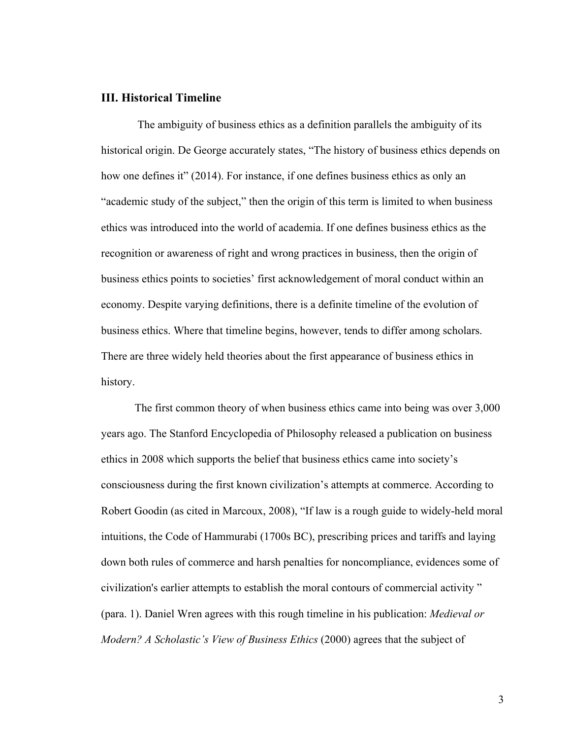### <span id="page-5-0"></span>**III. Historical Timeline**

The ambiguity of business ethics as a definition parallels the ambiguity of its historical origin. De George accurately states, "The history of business ethics depends on how one defines it" (2014). For instance, if one defines business ethics as only an "academic study of the subject," then the origin of this term is limited to when business ethics was introduced into the world of academia. If one defines business ethics as the recognition or awareness of right and wrong practices in business, then the origin of business ethics points to societies' first acknowledgement of moral conduct within an economy. Despite varying definitions, there is a definite timeline of the evolution of business ethics. Where that timeline begins, however, tends to differ among scholars. There are three widely held theories about the first appearance of business ethics in history.

The first common theory of when business ethics came into being was over 3,000 years ago. The Stanford Encyclopedia of Philosophy released a publication on business ethics in 2008 which supports the belief that business ethics came into society's consciousness during the first known civilization's attempts at commerce. According to Robert Goodin (as cited in Marcoux, 2008), "If law is a rough guide to widely-held moral intuitions, the Code of Hammurabi (1700s BC), prescribing prices and tariffs and laying down both rules of commerce and harsh penalties for noncompliance, evidences some of civilization's earlier attempts to establish the moral contours of commercial activity " (para. 1). Daniel Wren agrees with this rough timeline in his publication: *Medieval or Modern? A Scholastic's View of Business Ethics* (2000) agrees that the subject of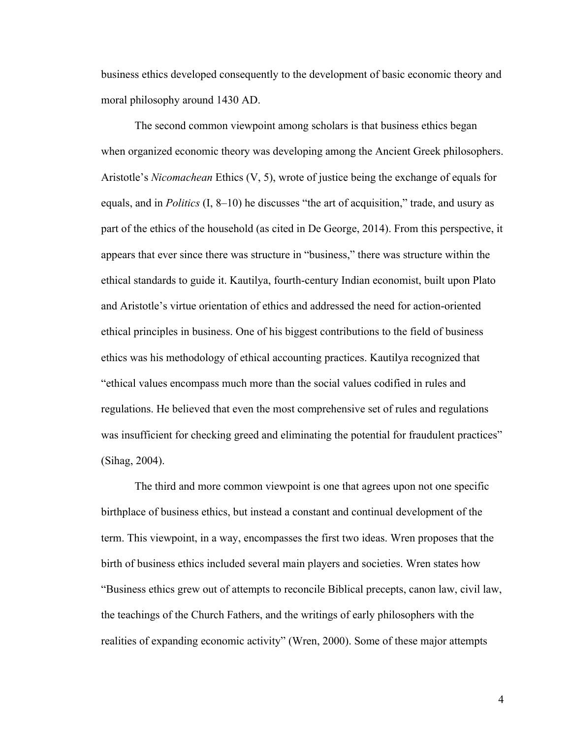business ethics developed consequently to the development of basic economic theory and moral philosophy around 1430 AD.

The second common viewpoint among scholars is that business ethics began when organized economic theory was developing among the Ancient Greek philosophers. Aristotle's *Nicomachean* Ethics (V, 5), wrote of justice being the exchange of equals for equals, and in *Politics* (I, 8–10) he discusses "the art of acquisition," trade, and usury as part of the ethics of the household (as cited in De George, 2014). From this perspective, it appears that ever since there was structure in "business," there was structure within the ethical standards to guide it. Kautilya, fourth-century Indian economist, built upon Plato and Aristotle's virtue orientation of ethics and addressed the need for action-oriented ethical principles in business. One of his biggest contributions to the field of business ethics was his methodology of ethical accounting practices. Kautilya recognized that "ethical values encompass much more than the social values codified in rules and regulations. He believed that even the most comprehensive set of rules and regulations was insufficient for checking greed and eliminating the potential for fraudulent practices" (Sihag, 2004).

The third and more common viewpoint is one that agrees upon not one specific birthplace of business ethics, but instead a constant and continual development of the term. This viewpoint, in a way, encompasses the first two ideas. Wren proposes that the birth of business ethics included several main players and societies. Wren states how "Business ethics grew out of attempts to reconcile Biblical precepts, canon law, civil law, the teachings of the Church Fathers, and the writings of early philosophers with the realities of expanding economic activity" (Wren, 2000). Some of these major attempts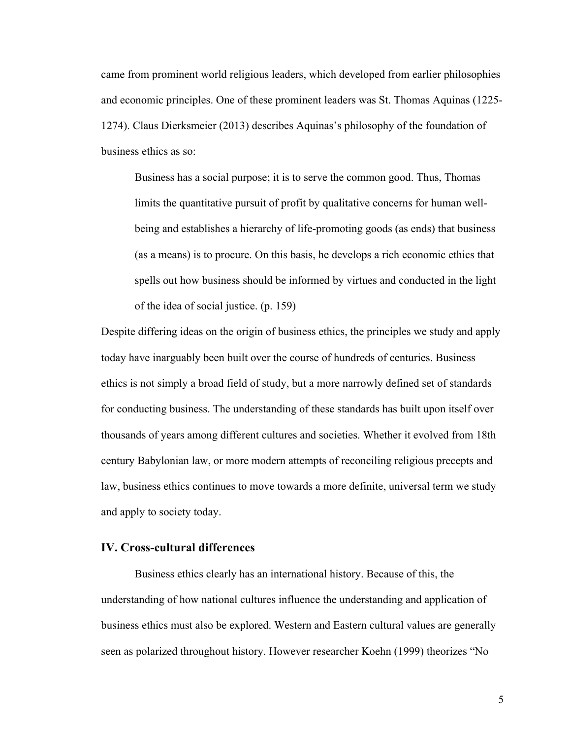came from prominent world religious leaders, which developed from earlier philosophies and economic principles. One of these prominent leaders was St. Thomas Aquinas (1225- 1274). Claus Dierksmeier (2013) describes Aquinas's philosophy of the foundation of business ethics as so:

Business has a social purpose; it is to serve the common good. Thus, Thomas limits the quantitative pursuit of profit by qualitative concerns for human wellbeing and establishes a hierarchy of life-promoting goods (as ends) that business (as a means) is to procure. On this basis, he develops a rich economic ethics that spells out how business should be informed by virtues and conducted in the light of the idea of social justice. (p. 159)

Despite differing ideas on the origin of business ethics, the principles we study and apply today have inarguably been built over the course of hundreds of centuries. Business ethics is not simply a broad field of study, but a more narrowly defined set of standards for conducting business. The understanding of these standards has built upon itself over thousands of years among different cultures and societies. Whether it evolved from 18th century Babylonian law, or more modern attempts of reconciling religious precepts and law, business ethics continues to move towards a more definite, universal term we study and apply to society today.

#### <span id="page-7-0"></span>**IV. Cross-cultural differences**

Business ethics clearly has an international history. Because of this, the understanding of how national cultures influence the understanding and application of business ethics must also be explored. Western and Eastern cultural values are generally seen as polarized throughout history. However researcher Koehn (1999) theorizes "No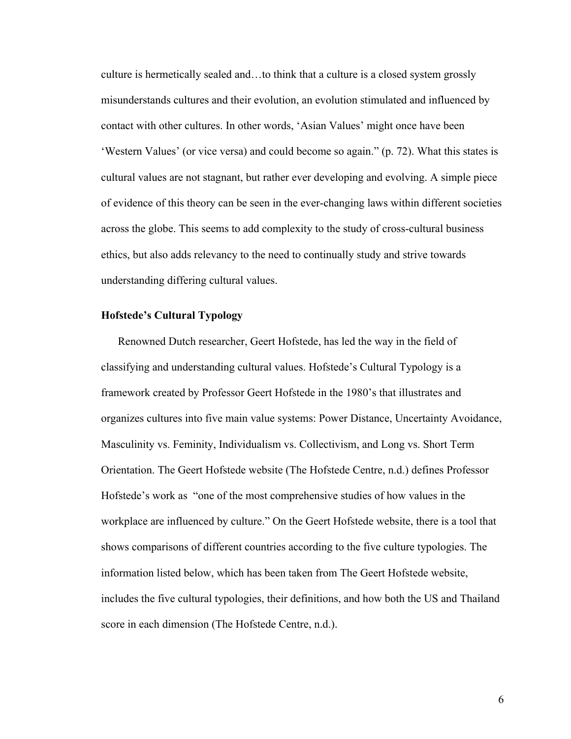culture is hermetically sealed and…to think that a culture is a closed system grossly misunderstands cultures and their evolution, an evolution stimulated and influenced by contact with other cultures. In other words, 'Asian Values' might once have been 'Western Values' (or vice versa) and could become so again." (p. 72). What this states is cultural values are not stagnant, but rather ever developing and evolving. A simple piece of evidence of this theory can be seen in the ever-changing laws within different societies across the globe. This seems to add complexity to the study of cross-cultural business ethics, but also adds relevancy to the need to continually study and strive towards understanding differing cultural values.

#### <span id="page-8-0"></span>**Hofstede's Cultural Typology**

Renowned Dutch researcher, Geert Hofstede, has led the way in the field of classifying and understanding cultural values. Hofstede's Cultural Typology is a framework created by Professor Geert Hofstede in the 1980's that illustrates and organizes cultures into five main value systems: Power Distance, Uncertainty Avoidance, Masculinity vs. Feminity, Individualism vs. Collectivism, and Long vs. Short Term Orientation. The Geert Hofstede website (The Hofstede Centre, n.d.) defines Professor Hofstede's work as "one of the most comprehensive studies of how values in the workplace are influenced by culture." On the Geert Hofstede website, there is a tool that shows comparisons of different countries according to the five culture typologies. The information listed below, which has been taken from The Geert Hofstede website, includes the five cultural typologies, their definitions, and how both the US and Thailand score in each dimension (The Hofstede Centre, n.d.).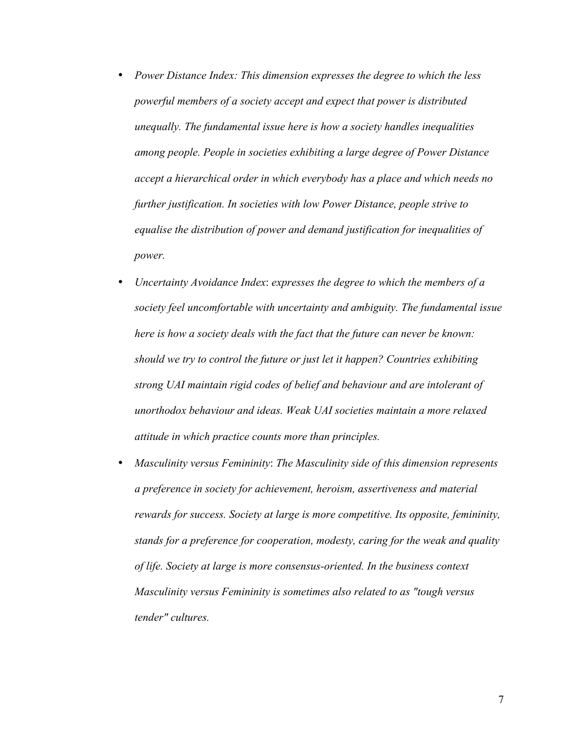- *Power Distance Index: This dimension expresses the degree to which the less powerful members of a society accept and expect that power is distributed unequally. The fundamental issue here is how a society handles inequalities among people. People in societies exhibiting a large degree of Power Distance accept a hierarchical order in which everybody has a place and which needs no further justification. In societies with low Power Distance, people strive to equalise the distribution of power and demand justification for inequalities of power.*
- *Uncertainty Avoidance Index*: *expresses the degree to which the members of a society feel uncomfortable with uncertainty and ambiguity. The fundamental issue here is how a society deals with the fact that the future can never be known: should we try to control the future or just let it happen? Countries exhibiting strong UAI maintain rigid codes of belief and behaviour and are intolerant of unorthodox behaviour and ideas. Weak UAI societies maintain a more relaxed attitude in which practice counts more than principles.*
- *Masculinity versus Femininity*: *The Masculinity side of this dimension represents a preference in society for achievement, heroism, assertiveness and material rewards for success. Society at large is more competitive. Its opposite, femininity, stands for a preference for cooperation, modesty, caring for the weak and quality of life. Society at large is more consensus-oriented. In the business context Masculinity versus Femininity is sometimes also related to as "tough versus tender" cultures.*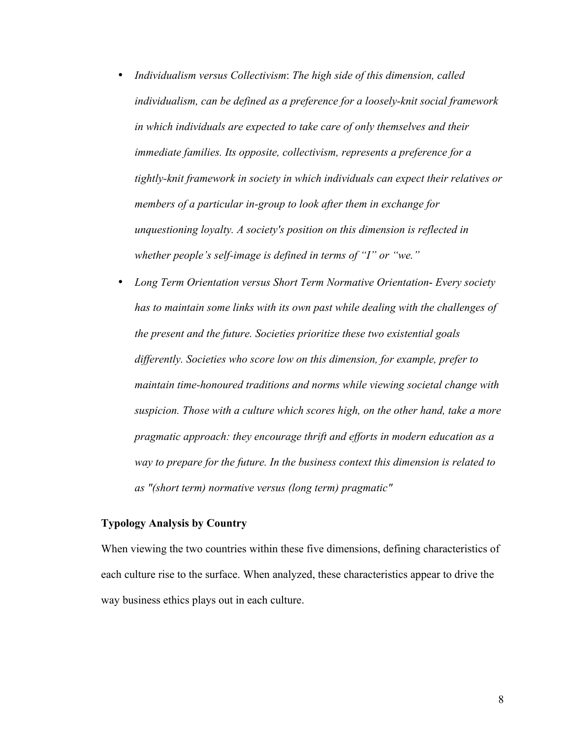- *Individualism versus Collectivism*: *The high side of this dimension, called individualism, can be defined as a preference for a loosely-knit social framework in which individuals are expected to take care of only themselves and their immediate families. Its opposite, collectivism, represents a preference for a tightly-knit framework in society in which individuals can expect their relatives or members of a particular in-group to look after them in exchange for unquestioning loyalty. A society's position on this dimension is reflected in whether people's self-image is defined in terms of "I" or "we."*
- *Long Term Orientation versus Short Term Normative Orientation Every society has to maintain some links with its own past while dealing with the challenges of the present and the future. Societies prioritize these two existential goals differently. Societies who score low on this dimension, for example, prefer to maintain time-honoured traditions and norms while viewing societal change with suspicion. Those with a culture which scores high, on the other hand, take a more pragmatic approach: they encourage thrift and efforts in modern education as a way to prepare for the future. In the business context this dimension is related to as "(short term) normative versus (long term) pragmatic"*

## <span id="page-10-0"></span>**Typology Analysis by Country**

When viewing the two countries within these five dimensions, defining characteristics of each culture rise to the surface. When analyzed, these characteristics appear to drive the way business ethics plays out in each culture.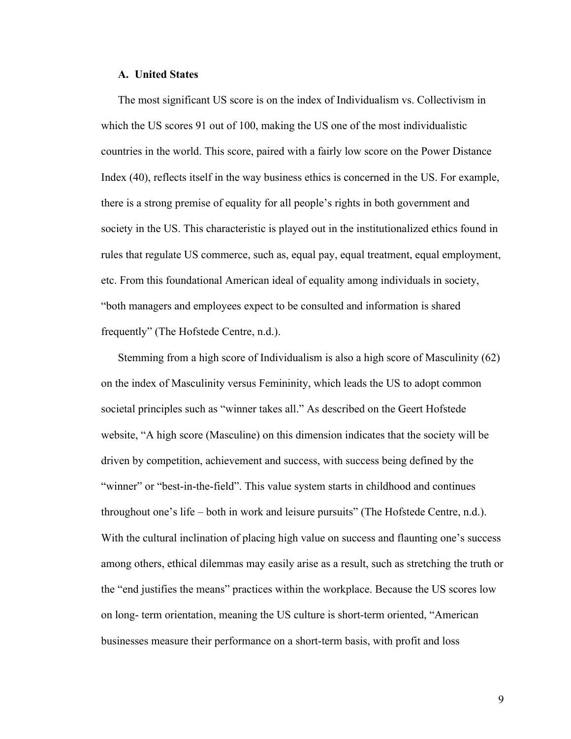#### **A. United States**

The most significant US score is on the index of Individualism vs. Collectivism in which the US scores 91 out of 100, making the US one of the most individualistic countries in the world. This score, paired with a fairly low score on the Power Distance Index (40), reflects itself in the way business ethics is concerned in the US. For example, there is a strong premise of equality for all people's rights in both government and society in the US. This characteristic is played out in the institutionalized ethics found in rules that regulate US commerce, such as, equal pay, equal treatment, equal employment, etc. From this foundational American ideal of equality among individuals in society, "both managers and employees expect to be consulted and information is shared frequently" (The Hofstede Centre, n.d.).

Stemming from a high score of Individualism is also a high score of Masculinity (62) on the index of Masculinity versus Femininity, which leads the US to adopt common societal principles such as "winner takes all." As described on the Geert Hofstede website, "A high score (Masculine) on this dimension indicates that the society will be driven by competition, achievement and success, with success being defined by the "winner" or "best-in-the-field". This value system starts in childhood and continues throughout one's life – both in work and leisure pursuits" (The Hofstede Centre, n.d.). With the cultural inclination of placing high value on success and flaunting one's success among others, ethical dilemmas may easily arise as a result, such as stretching the truth or the "end justifies the means" practices within the workplace. Because the US scores low on long- term orientation, meaning the US culture is short-term oriented, "American businesses measure their performance on a short-term basis, with profit and loss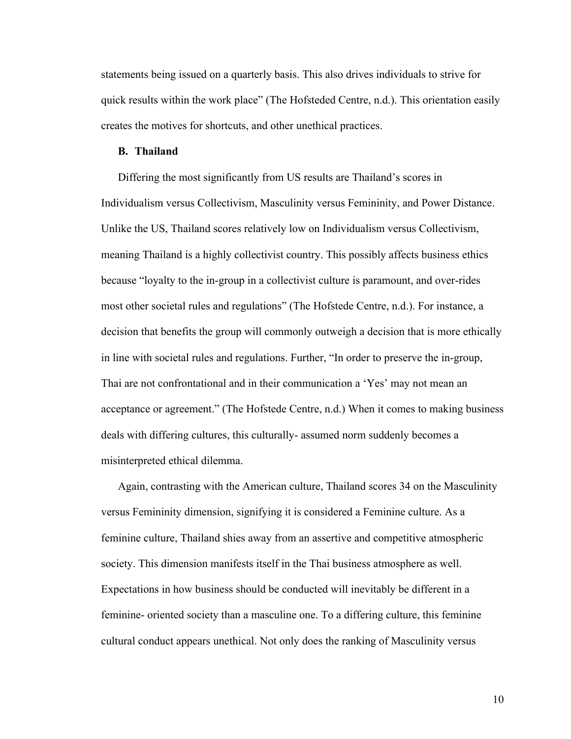statements being issued on a quarterly basis. This also drives individuals to strive for quick results within the work place" (The Hofsteded Centre, n.d.). This orientation easily creates the motives for shortcuts, and other unethical practices.

#### **B. Thailand**

Differing the most significantly from US results are Thailand's scores in Individualism versus Collectivism, Masculinity versus Femininity, and Power Distance. Unlike the US, Thailand scores relatively low on Individualism versus Collectivism, meaning Thailand is a highly collectivist country. This possibly affects business ethics because "loyalty to the in-group in a collectivist culture is paramount, and over-rides most other societal rules and regulations" (The Hofstede Centre, n.d.). For instance, a decision that benefits the group will commonly outweigh a decision that is more ethically in line with societal rules and regulations. Further, "In order to preserve the in-group, Thai are not confrontational and in their communication a 'Yes' may not mean an acceptance or agreement." (The Hofstede Centre, n.d.) When it comes to making business deals with differing cultures, this culturally- assumed norm suddenly becomes a misinterpreted ethical dilemma.

Again, contrasting with the American culture, Thailand scores 34 on the Masculinity versus Femininity dimension, signifying it is considered a Feminine culture. As a feminine culture, Thailand shies away from an assertive and competitive atmospheric society. This dimension manifests itself in the Thai business atmosphere as well. Expectations in how business should be conducted will inevitably be different in a feminine- oriented society than a masculine one. To a differing culture, this feminine cultural conduct appears unethical. Not only does the ranking of Masculinity versus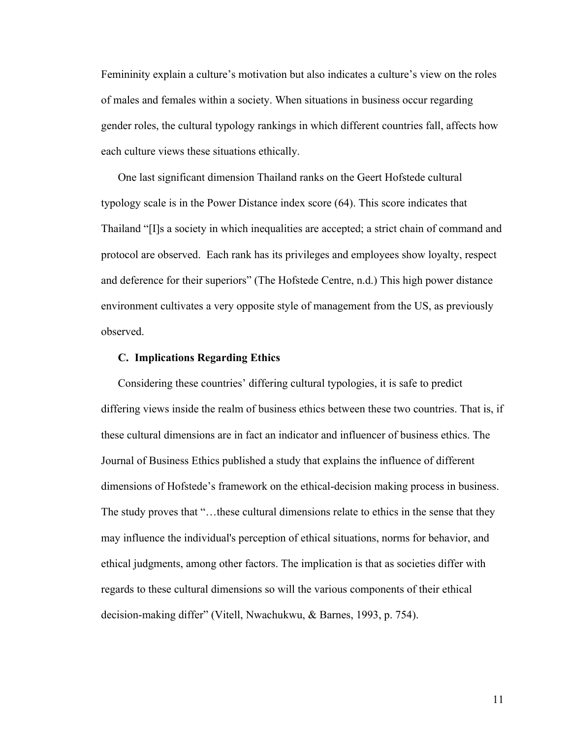Femininity explain a culture's motivation but also indicates a culture's view on the roles of males and females within a society. When situations in business occur regarding gender roles, the cultural typology rankings in which different countries fall, affects how each culture views these situations ethically.

One last significant dimension Thailand ranks on the Geert Hofstede cultural typology scale is in the Power Distance index score (64). This score indicates that Thailand "[I]s a society in which inequalities are accepted; a strict chain of command and protocol are observed. Each rank has its privileges and employees show loyalty, respect and deference for their superiors" (The Hofstede Centre, n.d.) This high power distance environment cultivates a very opposite style of management from the US, as previously observed.

#### **C. Implications Regarding Ethics**

Considering these countries' differing cultural typologies, it is safe to predict differing views inside the realm of business ethics between these two countries. That is, if these cultural dimensions are in fact an indicator and influencer of business ethics. The Journal of Business Ethics published a study that explains the influence of different dimensions of Hofstede's framework on the ethical-decision making process in business. The study proves that "…these cultural dimensions relate to ethics in the sense that they may influence the individual's perception of ethical situations, norms for behavior, and ethical judgments, among other factors. The implication is that as societies differ with regards to these cultural dimensions so will the various components of their ethical decision-making differ" (Vitell, Nwachukwu, & Barnes, 1993, p. 754).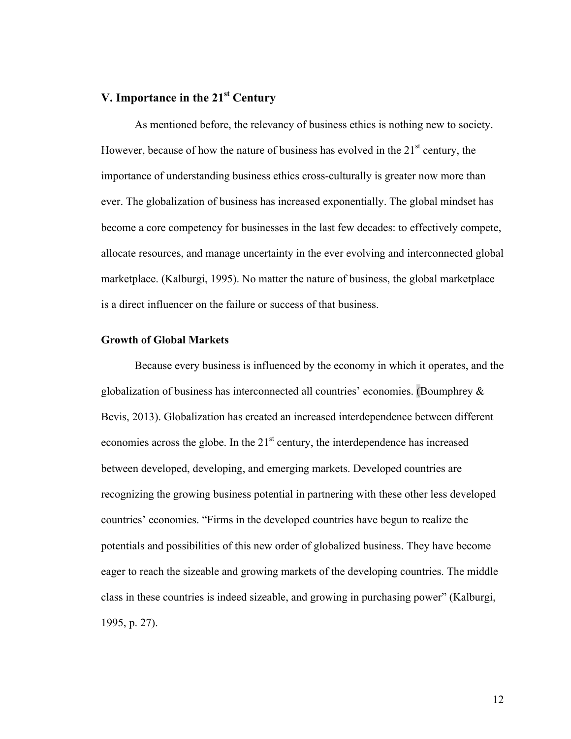## <span id="page-14-0"></span>**V. Importance in the 21st Century**

As mentioned before, the relevancy of business ethics is nothing new to society. However, because of how the nature of business has evolved in the  $21<sup>st</sup>$  century, the importance of understanding business ethics cross-culturally is greater now more than ever. The globalization of business has increased exponentially. The global mindset has become a core competency for businesses in the last few decades: to effectively compete, allocate resources, and manage uncertainty in the ever evolving and interconnected global marketplace. (Kalburgi, 1995). No matter the nature of business, the global marketplace is a direct influencer on the failure or success of that business.

### <span id="page-14-1"></span>**Growth of Global Markets**

Because every business is influenced by the economy in which it operates, and the globalization of business has interconnected all countries' economies. (Boumphrey & Bevis, 2013). Globalization has created an increased interdependence between different economies across the globe. In the  $21<sup>st</sup>$  century, the interdependence has increased between developed, developing, and emerging markets. Developed countries are recognizing the growing business potential in partnering with these other less developed countries' economies. "Firms in the developed countries have begun to realize the potentials and possibilities of this new order of globalized business. They have become eager to reach the sizeable and growing markets of the developing countries. The middle class in these countries is indeed sizeable, and growing in purchasing power" (Kalburgi, 1995, p. 27).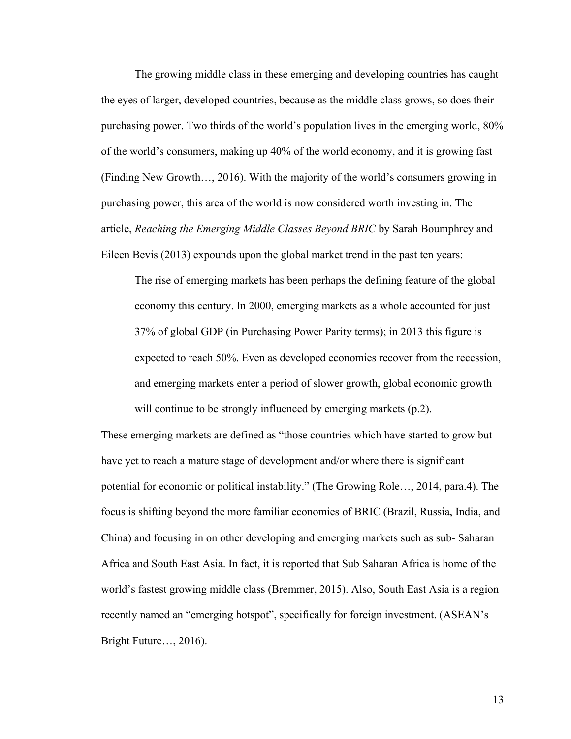The growing middle class in these emerging and developing countries has caught the eyes of larger, developed countries, because as the middle class grows, so does their purchasing power. Two thirds of the world's population lives in the emerging world, 80% of the world's consumers, making up 40% of the world economy, and it is growing fast (Finding New Growth…, 2016). With the majority of the world's consumers growing in purchasing power, this area of the world is now considered worth investing in. The article, *Reaching the Emerging Middle Classes Beyond BRIC* by Sarah Boumphrey and Eileen Bevis (2013) expounds upon the global market trend in the past ten years:

The rise of emerging markets has been perhaps the defining feature of the global economy this century. In 2000, emerging markets as a whole accounted for just 37% of global GDP (in Purchasing Power Parity terms); in 2013 this figure is expected to reach 50%. Even as developed economies recover from the recession, and emerging markets enter a period of slower growth, global economic growth will continue to be strongly influenced by emerging markets (p.2).

These emerging markets are defined as "those countries which have started to grow but have yet to reach a mature stage of development and/or where there is significant potential for economic or political instability." (The Growing Role…, 2014, para.4). The focus is shifting beyond the more familiar economies of BRIC (Brazil, Russia, India, and China) and focusing in on other developing and emerging markets such as sub- Saharan Africa and South East Asia. In fact, it is reported that Sub Saharan Africa is home of the world's fastest growing middle class (Bremmer, 2015). Also, South East Asia is a region recently named an "emerging hotspot", specifically for foreign investment. (ASEAN's Bright Future…, 2016).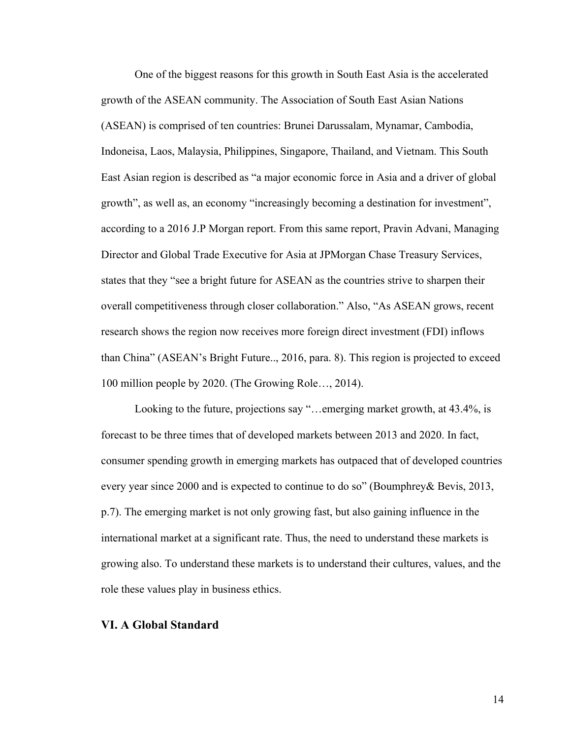One of the biggest reasons for this growth in South East Asia is the accelerated growth of the ASEAN community. The Association of South East Asian Nations (ASEAN) is comprised of ten countries: Brunei Darussalam, Mynamar, Cambodia, Indoneisa, Laos, Malaysia, Philippines, Singapore, Thailand, and Vietnam. This South East Asian region is described as "a major economic force in Asia and a driver of global growth", as well as, an economy "increasingly becoming a destination for investment", according to a 2016 J.P Morgan report. From this same report, Pravin Advani, Managing Director and Global Trade Executive for Asia at JPMorgan Chase Treasury Services, states that they "see a bright future for ASEAN as the countries strive to sharpen their overall competitiveness through closer collaboration." Also, "As ASEAN grows, recent research shows the region now receives more foreign direct investment (FDI) inflows than China" (ASEAN's Bright Future.., 2016, para. 8). This region is projected to exceed 100 million people by 2020. (The Growing Role…, 2014).

Looking to the future, projections say "…emerging market growth, at 43.4%, is forecast to be three times that of developed markets between 2013 and 2020. In fact, consumer spending growth in emerging markets has outpaced that of developed countries every year since 2000 and is expected to continue to do so" (Boumphrey& Bevis, 2013, p.7). The emerging market is not only growing fast, but also gaining influence in the international market at a significant rate. Thus, the need to understand these markets is growing also. To understand these markets is to understand their cultures, values, and the role these values play in business ethics.

## <span id="page-16-0"></span>**VI. A Global Standard**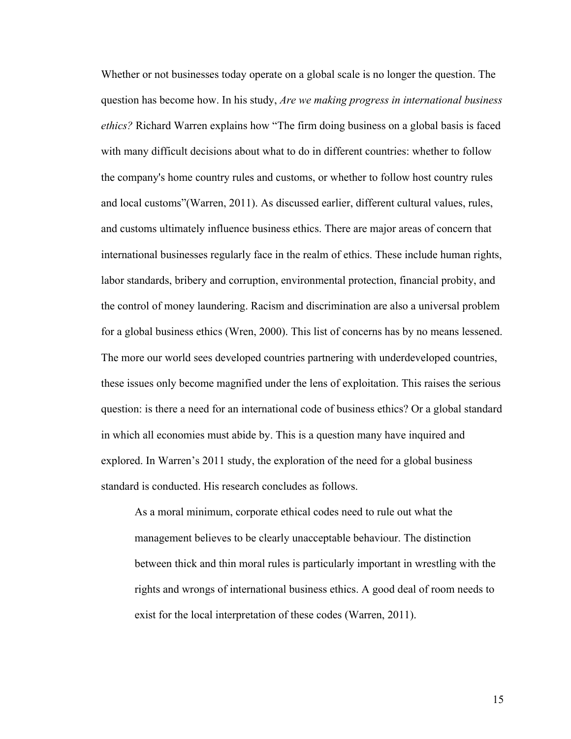Whether or not businesses today operate on a global scale is no longer the question. The question has become how. In his study, *Are we making progress in international business ethics?* Richard Warren explains how "The firm doing business on a global basis is faced with many difficult decisions about what to do in different countries: whether to follow the company's home country rules and customs, or whether to follow host country rules and local customs"(Warren, 2011). As discussed earlier, different cultural values, rules, and customs ultimately influence business ethics. There are major areas of concern that international businesses regularly face in the realm of ethics. These include human rights, labor standards, bribery and corruption, environmental protection, financial probity, and the control of money laundering. Racism and discrimination are also a universal problem for a global business ethics (Wren, 2000). This list of concerns has by no means lessened. The more our world sees developed countries partnering with underdeveloped countries, these issues only become magnified under the lens of exploitation. This raises the serious question: is there a need for an international code of business ethics? Or a global standard in which all economies must abide by. This is a question many have inquired and explored. In Warren's 2011 study, the exploration of the need for a global business standard is conducted. His research concludes as follows.

As a moral minimum, corporate ethical codes need to rule out what the management believes to be clearly unacceptable behaviour. The distinction between thick and thin moral rules is particularly important in wrestling with the rights and wrongs of international business ethics. A good deal of room needs to exist for the local interpretation of these codes (Warren, 2011).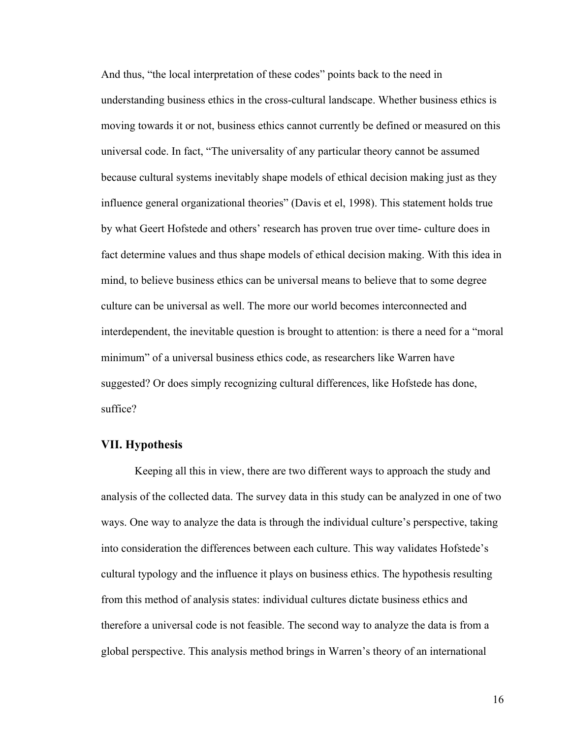And thus, "the local interpretation of these codes" points back to the need in understanding business ethics in the cross-cultural landscape. Whether business ethics is moving towards it or not, business ethics cannot currently be defined or measured on this universal code. In fact, "The universality of any particular theory cannot be assumed because cultural systems inevitably shape models of ethical decision making just as they influence general organizational theories" (Davis et el, 1998). This statement holds true by what Geert Hofstede and others' research has proven true over time- culture does in fact determine values and thus shape models of ethical decision making. With this idea in mind, to believe business ethics can be universal means to believe that to some degree culture can be universal as well. The more our world becomes interconnected and interdependent, the inevitable question is brought to attention: is there a need for a "moral minimum" of a universal business ethics code, as researchers like Warren have suggested? Or does simply recognizing cultural differences, like Hofstede has done, suffice?

#### <span id="page-18-0"></span>**VII. Hypothesis**

Keeping all this in view, there are two different ways to approach the study and analysis of the collected data. The survey data in this study can be analyzed in one of two ways. One way to analyze the data is through the individual culture's perspective, taking into consideration the differences between each culture. This way validates Hofstede's cultural typology and the influence it plays on business ethics. The hypothesis resulting from this method of analysis states: individual cultures dictate business ethics and therefore a universal code is not feasible. The second way to analyze the data is from a global perspective. This analysis method brings in Warren's theory of an international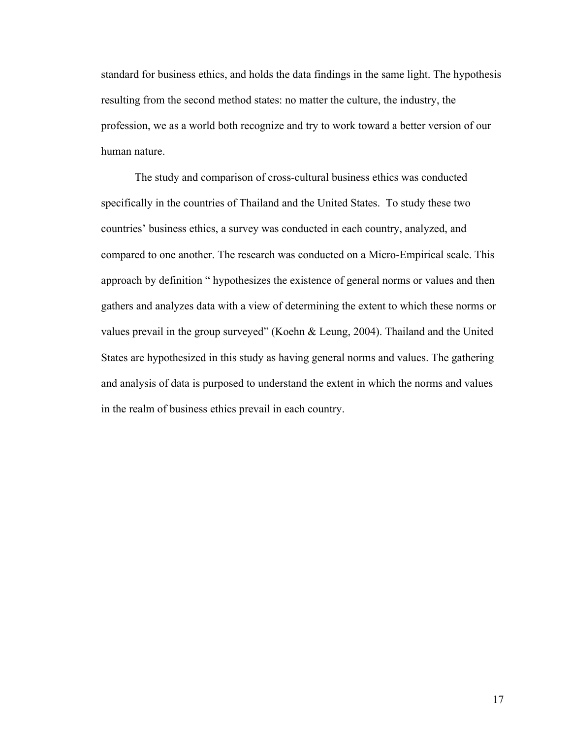standard for business ethics, and holds the data findings in the same light. The hypothesis resulting from the second method states: no matter the culture, the industry, the profession, we as a world both recognize and try to work toward a better version of our human nature.

The study and comparison of cross-cultural business ethics was conducted specifically in the countries of Thailand and the United States. To study these two countries' business ethics, a survey was conducted in each country, analyzed, and compared to one another. The research was conducted on a Micro-Empirical scale. This approach by definition " hypothesizes the existence of general norms or values and then gathers and analyzes data with a view of determining the extent to which these norms or values prevail in the group surveyed" (Koehn & Leung, 2004). Thailand and the United States are hypothesized in this study as having general norms and values. The gathering and analysis of data is purposed to understand the extent in which the norms and values in the realm of business ethics prevail in each country.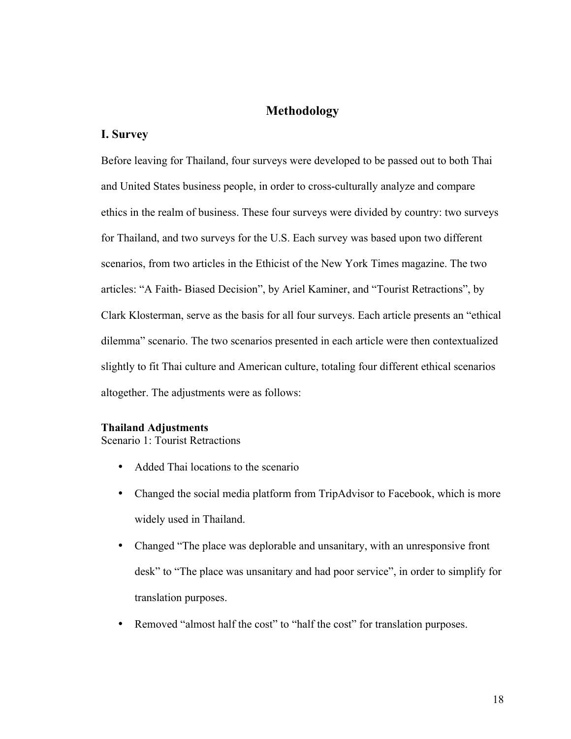## <span id="page-20-0"></span>**Methodology**

### <span id="page-20-1"></span>**I. Survey**

Before leaving for Thailand, four surveys were developed to be passed out to both Thai and United States business people, in order to cross-culturally analyze and compare ethics in the realm of business. These four surveys were divided by country: two surveys for Thailand, and two surveys for the U.S. Each survey was based upon two different scenarios, from two articles in the Ethicist of the New York Times magazine. The two articles: "A Faith- Biased Decision", by Ariel Kaminer, and "Tourist Retractions", by Clark Klosterman, serve as the basis for all four surveys. Each article presents an "ethical dilemma" scenario. The two scenarios presented in each article were then contextualized slightly to fit Thai culture and American culture, totaling four different ethical scenarios altogether. The adjustments were as follows:

## <span id="page-20-2"></span>**Thailand Adjustments**

Scenario 1: Tourist Retractions

- Added Thai locations to the scenario
- Changed the social media platform from TripAdvisor to Facebook, which is more widely used in Thailand.
- Changed "The place was deplorable and unsanitary, with an unresponsive front desk" to "The place was unsanitary and had poor service", in order to simplify for translation purposes.
- Removed "almost half the cost" to "half the cost" for translation purposes.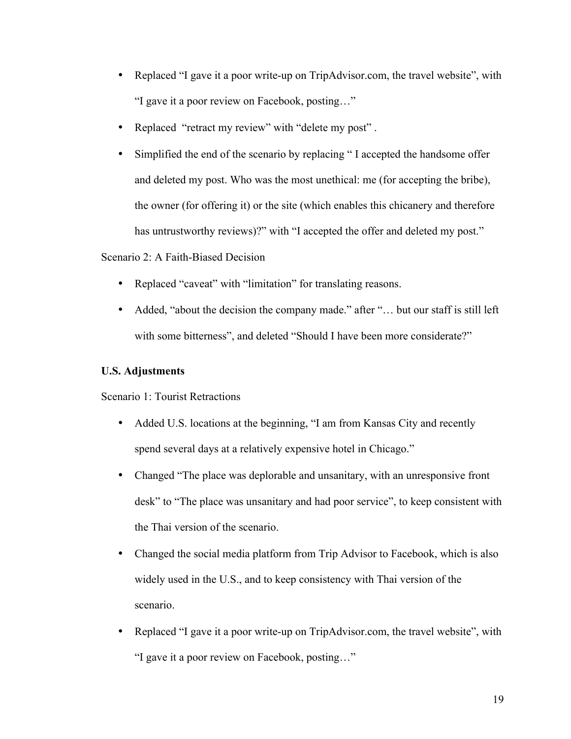- Replaced "I gave it a poor write-up on TripAdvisor.com, the travel website", with "I gave it a poor review on Facebook, posting…"
- Replaced "retract my review" with "delete my post" .
- Simplified the end of the scenario by replacing "I accepted the handsome offer and deleted my post. Who was the most unethical: me (for accepting the bribe), the owner (for offering it) or the site (which enables this chicanery and therefore has untrustworthy reviews)?" with "I accepted the offer and deleted my post."

## Scenario 2: A Faith-Biased Decision

- Replaced "caveat" with "limitation" for translating reasons.
- Added, "about the decision the company made." after "... but our staff is still left with some bitterness", and deleted "Should I have been more considerate?"

## <span id="page-21-0"></span>**U.S. Adjustments**

Scenario 1: Tourist Retractions

- Added U.S. locations at the beginning, "I am from Kansas City and recently spend several days at a relatively expensive hotel in Chicago."
- Changed "The place was deplorable and unsanitary, with an unresponsive front desk" to "The place was unsanitary and had poor service", to keep consistent with the Thai version of the scenario.
- Changed the social media platform from Trip Advisor to Facebook, which is also widely used in the U.S., and to keep consistency with Thai version of the scenario.
- Replaced "I gave it a poor write-up on TripAdvisor.com, the travel website", with "I gave it a poor review on Facebook, posting…"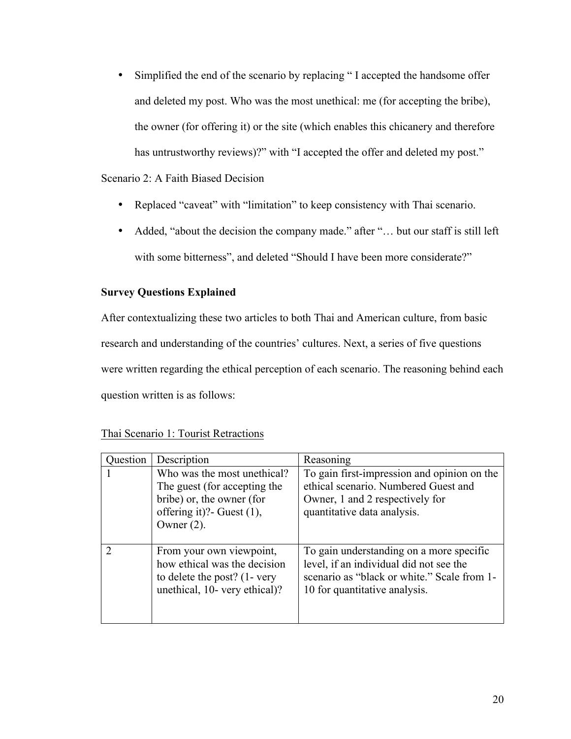• Simplified the end of the scenario by replacing "I accepted the handsome offer and deleted my post. Who was the most unethical: me (for accepting the bribe), the owner (for offering it) or the site (which enables this chicanery and therefore has untrustworthy reviews)?" with "I accepted the offer and deleted my post."

## Scenario 2: A Faith Biased Decision

- Replaced "caveat" with "limitation" to keep consistency with Thai scenario.
- Added, "about the decision the company made." after "... but our staff is still left with some bitterness", and deleted "Should I have been more considerate?"

## <span id="page-22-0"></span>**Survey Questions Explained**

After contextualizing these two articles to both Thai and American culture, from basic research and understanding of the countries' cultures. Next, a series of five questions were written regarding the ethical perception of each scenario. The reasoning behind each question written is as follows:

## Thai Scenario 1: Tourist Retractions

| uestion | Description                                                                                                                              | Reasoning                                                                                                                                                           |
|---------|------------------------------------------------------------------------------------------------------------------------------------------|---------------------------------------------------------------------------------------------------------------------------------------------------------------------|
|         | Who was the most unethical?<br>The guest (for accepting the<br>bribe) or, the owner (for<br>offering it)? Guest $(1)$ ,<br>Owner $(2)$ . | To gain first-impression and opinion on the<br>ethical scenario. Numbered Guest and<br>Owner, 1 and 2 respectively for<br>quantitative data analysis.               |
|         | From your own viewpoint,<br>how ethical was the decision<br>to delete the post? (1- very<br>unethical, 10- very ethical)?                | To gain understanding on a more specific<br>level, if an individual did not see the<br>scenario as "black or white." Scale from 1-<br>10 for quantitative analysis. |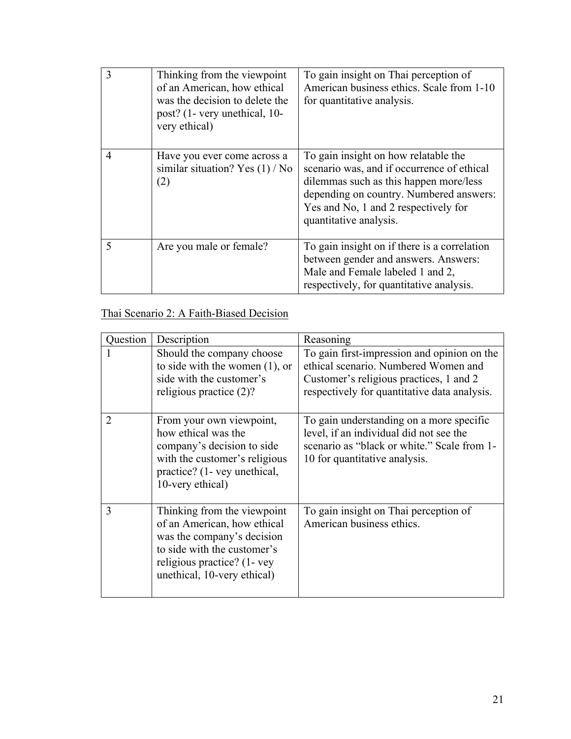|   | Thinking from the viewpoint<br>of an American, how ethical<br>was the decision to delete the<br>post? (1- very unethical, 10-<br>very ethical) | To gain insight on Thai perception of<br>American business ethics. Scale from 1-10<br>for quantitative analysis.                                                                                                                          |
|---|------------------------------------------------------------------------------------------------------------------------------------------------|-------------------------------------------------------------------------------------------------------------------------------------------------------------------------------------------------------------------------------------------|
| 4 | Have you ever come across a<br>similar situation? Yes $(1)$ / No<br>(2)                                                                        | To gain insight on how relatable the<br>scenario was, and if occurrence of ethical<br>dilemmas such as this happen more/less<br>depending on country. Numbered answers:<br>Yes and No, 1 and 2 respectively for<br>quantitative analysis. |
| 5 | Are you male or female?                                                                                                                        | To gain insight on if there is a correlation<br>between gender and answers. Answers:<br>Male and Female labeled 1 and 2,<br>respectively, for quantitative analysis.                                                                      |

## Thai Scenario 2: A Faith-Biased Decision

| Question | Description                                                                                                                                                                           | Reasoning                                                                                                                                                                      |
|----------|---------------------------------------------------------------------------------------------------------------------------------------------------------------------------------------|--------------------------------------------------------------------------------------------------------------------------------------------------------------------------------|
|          | Should the company choose<br>to side with the women $(1)$ , or<br>side with the customer's<br>religious practice $(2)$ ?                                                              | To gain first-impression and opinion on the<br>ethical scenario. Numbered Women and<br>Customer's religious practices, 1 and 2<br>respectively for quantitative data analysis. |
| 2        | From your own viewpoint,<br>how ethical was the<br>company's decision to side<br>with the customer's religious<br>practice? (1- vey unethical,<br>10-very ethical)                    | To gain understanding on a more specific<br>level, if an individual did not see the<br>scenario as "black or white." Scale from 1-<br>10 for quantitative analysis.            |
| 3        | Thinking from the viewpoint<br>of an American, how ethical<br>was the company's decision<br>to side with the customer's<br>religious practice? (1- vey<br>unethical, 10-very ethical) | To gain insight on Thai perception of<br>American business ethics.                                                                                                             |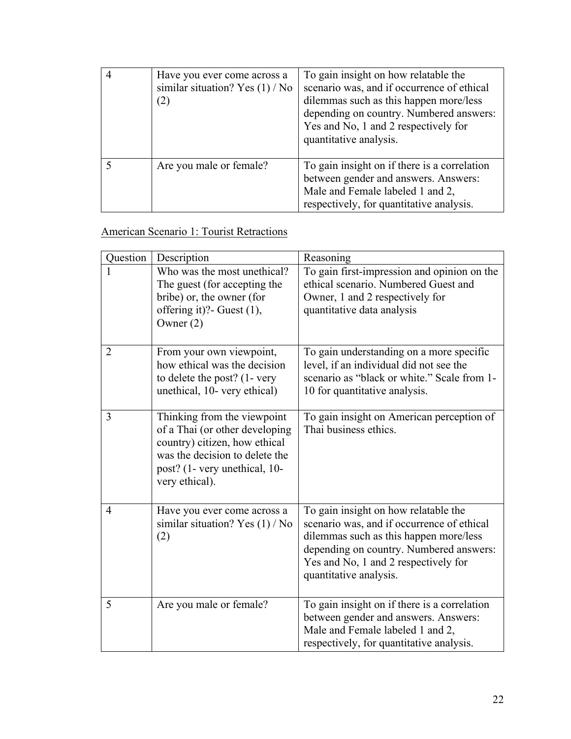| Have you ever come across a<br>similar situation? Yes $(1)$ / No<br>(2) | To gain insight on how relatable the<br>scenario was, and if occurrence of ethical<br>dilemmas such as this happen more/less<br>depending on country. Numbered answers:<br>Yes and No, 1 and 2 respectively for<br>quantitative analysis. |
|-------------------------------------------------------------------------|-------------------------------------------------------------------------------------------------------------------------------------------------------------------------------------------------------------------------------------------|
| Are you male or female?                                                 | To gain insight on if there is a correlation<br>between gender and answers. Answers:<br>Male and Female labeled 1 and 2,<br>respectively, for quantitative analysis.                                                                      |

## American Scenario 1: Tourist Retractions

| Question       | Description                                                                                                                                                                         | Reasoning                                                                                                                                                                                                                                 |
|----------------|-------------------------------------------------------------------------------------------------------------------------------------------------------------------------------------|-------------------------------------------------------------------------------------------------------------------------------------------------------------------------------------------------------------------------------------------|
| L              | Who was the most unethical?<br>The guest (for accepting the<br>bribe) or, the owner (for<br>offering it)?- Guest (1),<br>Owner $(2)$                                                | To gain first-impression and opinion on the<br>ethical scenario. Numbered Guest and<br>Owner, 1 and 2 respectively for<br>quantitative data analysis                                                                                      |
| $\overline{2}$ | From your own viewpoint,<br>how ethical was the decision<br>to delete the post? (1- very<br>unethical, 10- very ethical)                                                            | To gain understanding on a more specific<br>level, if an individual did not see the<br>scenario as "black or white." Scale from 1-<br>10 for quantitative analysis.                                                                       |
| 3              | Thinking from the viewpoint<br>of a Thai (or other developing<br>country) citizen, how ethical<br>was the decision to delete the<br>post? (1- very unethical, 10-<br>very ethical). | To gain insight on American perception of<br>Thai business ethics.                                                                                                                                                                        |
| 4              | Have you ever come across a<br>similar situation? Yes $(1)$ / No<br>(2)                                                                                                             | To gain insight on how relatable the<br>scenario was, and if occurrence of ethical<br>dilemmas such as this happen more/less<br>depending on country. Numbered answers:<br>Yes and No, 1 and 2 respectively for<br>quantitative analysis. |
| 5              | Are you male or female?                                                                                                                                                             | To gain insight on if there is a correlation<br>between gender and answers. Answers:<br>Male and Female labeled 1 and 2,<br>respectively, for quantitative analysis.                                                                      |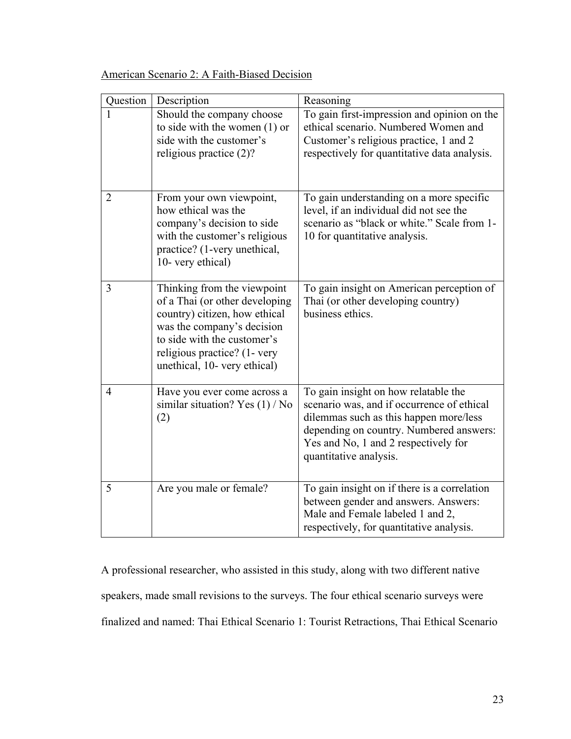| Question       | Description                                                                                                                                                                                                                 | Reasoning                                                                                                                                                                                                                                 |
|----------------|-----------------------------------------------------------------------------------------------------------------------------------------------------------------------------------------------------------------------------|-------------------------------------------------------------------------------------------------------------------------------------------------------------------------------------------------------------------------------------------|
| 1              | Should the company choose<br>to side with the women $(1)$ or<br>side with the customer's<br>religious practice (2)?                                                                                                         | To gain first-impression and opinion on the<br>ethical scenario. Numbered Women and<br>Customer's religious practice, 1 and 2<br>respectively for quantitative data analysis.                                                             |
| $\overline{2}$ | From your own viewpoint,<br>how ethical was the<br>company's decision to side<br>with the customer's religious<br>practice? (1-very unethical,<br>10- very ethical)                                                         | To gain understanding on a more specific<br>level, if an individual did not see the<br>scenario as "black or white." Scale from 1-<br>10 for quantitative analysis.                                                                       |
| 3              | Thinking from the viewpoint<br>of a Thai (or other developing<br>country) citizen, how ethical<br>was the company's decision<br>to side with the customer's<br>religious practice? (1- very<br>unethical, 10- very ethical) | To gain insight on American perception of<br>Thai (or other developing country)<br>business ethics.                                                                                                                                       |
| $\overline{4}$ | Have you ever come across a<br>similar situation? Yes $(1)$ / No<br>(2)                                                                                                                                                     | To gain insight on how relatable the<br>scenario was, and if occurrence of ethical<br>dilemmas such as this happen more/less<br>depending on country. Numbered answers:<br>Yes and No, 1 and 2 respectively for<br>quantitative analysis. |
| 5              | Are you male or female?                                                                                                                                                                                                     | To gain insight on if there is a correlation<br>between gender and answers. Answers:<br>Male and Female labeled 1 and 2,<br>respectively, for quantitative analysis.                                                                      |

American Scenario 2: A Faith-Biased Decision

A professional researcher, who assisted in this study, along with two different native speakers, made small revisions to the surveys. The four ethical scenario surveys were finalized and named: Thai Ethical Scenario 1: Tourist Retractions, Thai Ethical Scenario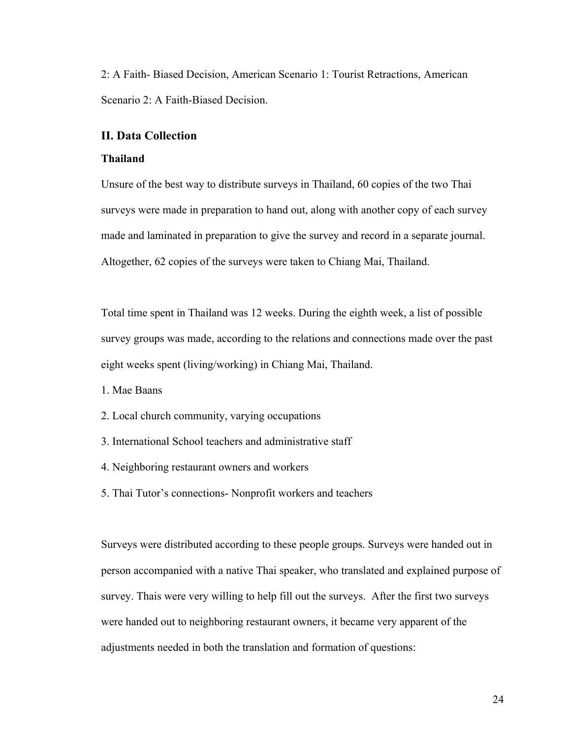2: A Faith- Biased Decision, American Scenario 1: Tourist Retractions, American Scenario 2: A Faith-Biased Decision.

### <span id="page-26-1"></span><span id="page-26-0"></span>**II. Data Collection**

#### **Thailand**

Unsure of the best way to distribute surveys in Thailand, 60 copies of the two Thai surveys were made in preparation to hand out, along with another copy of each survey made and laminated in preparation to give the survey and record in a separate journal. Altogether, 62 copies of the surveys were taken to Chiang Mai, Thailand.

Total time spent in Thailand was 12 weeks. During the eighth week, a list of possible survey groups was made, according to the relations and connections made over the past eight weeks spent (living/working) in Chiang Mai, Thailand.

1. Mae Baans

- 2. Local church community, varying occupations
- 3. International School teachers and administrative staff
- 4. Neighboring restaurant owners and workers
- 5. Thai Tutor's connections- Nonprofit workers and teachers

Surveys were distributed according to these people groups. Surveys were handed out in person accompanied with a native Thai speaker, who translated and explained purpose of survey. Thais were very willing to help fill out the surveys. After the first two surveys were handed out to neighboring restaurant owners, it became very apparent of the adjustments needed in both the translation and formation of questions: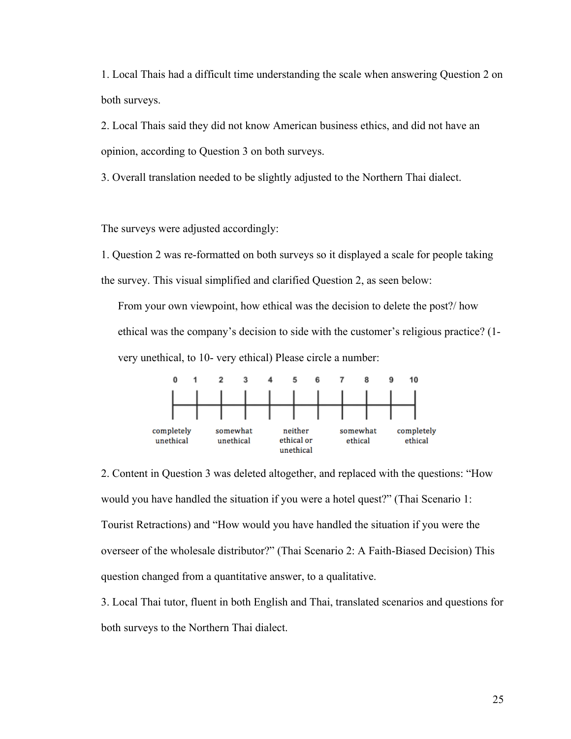1. Local Thais had a difficult time understanding the scale when answering Question 2 on both surveys.

2. Local Thais said they did not know American business ethics, and did not have an opinion, according to Question 3 on both surveys.

3. Overall translation needed to be slightly adjusted to the Northern Thai dialect.

The surveys were adjusted accordingly:

1. Question 2 was re-formatted on both surveys so it displayed a scale for people taking the survey. This visual simplified and clarified Question 2, as seen below:

From your own viewpoint, how ethical was the decision to delete the post?/ how ethical was the company's decision to side with the customer's religious practice? (1 very unethical, to 10- very ethical) Please circle a number:



2. Content in Question 3 was deleted altogether, and replaced with the questions: "How would you have handled the situation if you were a hotel quest?" (Thai Scenario 1: Tourist Retractions) and "How would you have handled the situation if you were the overseer of the wholesale distributor?" (Thai Scenario 2: A Faith-Biased Decision) This question changed from a quantitative answer, to a qualitative.

3. Local Thai tutor, fluent in both English and Thai, translated scenarios and questions for both surveys to the Northern Thai dialect.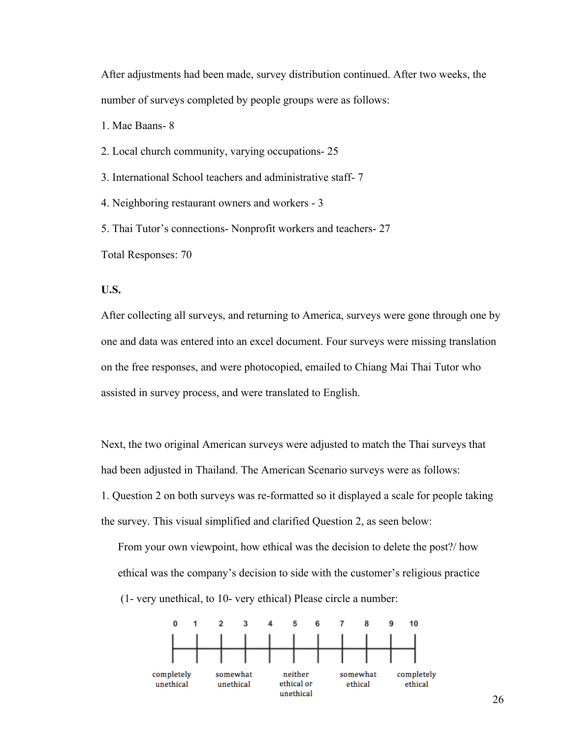After adjustments had been made, survey distribution continued. After two weeks, the number of surveys completed by people groups were as follows:

1. Mae Baans- 8

- 2. Local church community, varying occupations- 25
- 3. International School teachers and administrative staff- 7
- 4. Neighboring restaurant owners and workers 3

5. Thai Tutor's connections- Nonprofit workers and teachers- 27

<span id="page-28-0"></span>Total Responses: 70

#### **U.S.**

After collecting all surveys, and returning to America, surveys were gone through one by one and data was entered into an excel document. Four surveys were missing translation on the free responses, and were photocopied, emailed to Chiang Mai Thai Tutor who assisted in survey process, and were translated to English.

Next, the two original American surveys were adjusted to match the Thai surveys that had been adjusted in Thailand. The American Scenario surveys were as follows: 1. Question 2 on both surveys was re-formatted so it displayed a scale for people taking the survey. This visual simplified and clarified Question 2, as seen below:

From your own viewpoint, how ethical was the decision to delete the post?/ how ethical was the company's decision to side with the customer's religious practice (1- very unethical, to 10- very ethical) Please circle a number:

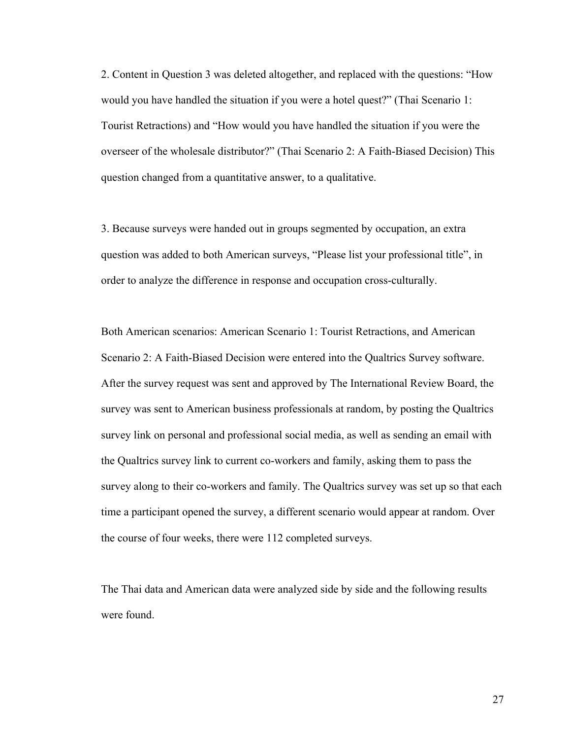2. Content in Question 3 was deleted altogether, and replaced with the questions: "How would you have handled the situation if you were a hotel quest?" (Thai Scenario 1: Tourist Retractions) and "How would you have handled the situation if you were the overseer of the wholesale distributor?" (Thai Scenario 2: A Faith-Biased Decision) This question changed from a quantitative answer, to a qualitative.

3. Because surveys were handed out in groups segmented by occupation, an extra question was added to both American surveys, "Please list your professional title", in order to analyze the difference in response and occupation cross-culturally.

Both American scenarios: American Scenario 1: Tourist Retractions, and American Scenario 2: A Faith-Biased Decision were entered into the Qualtrics Survey software. After the survey request was sent and approved by The International Review Board, the survey was sent to American business professionals at random, by posting the Qualtrics survey link on personal and professional social media, as well as sending an email with the Qualtrics survey link to current co-workers and family, asking them to pass the survey along to their co-workers and family. The Qualtrics survey was set up so that each time a participant opened the survey, a different scenario would appear at random. Over the course of four weeks, there were 112 completed surveys.

The Thai data and American data were analyzed side by side and the following results were found.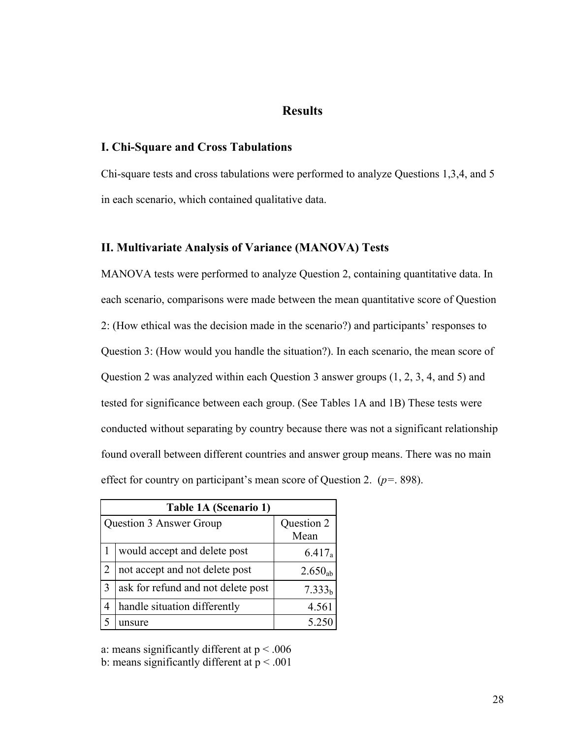## <span id="page-30-0"></span>**Results**

#### <span id="page-30-1"></span>**I. Chi-Square and Cross Tabulations**

Chi-square tests and cross tabulations were performed to analyze Questions 1,3,4, and 5 in each scenario, which contained qualitative data.

## <span id="page-30-2"></span>**II. Multivariate Analysis of Variance (MANOVA) Tests**

MANOVA tests were performed to analyze Question 2, containing quantitative data. In each scenario, comparisons were made between the mean quantitative score of Question 2: (How ethical was the decision made in the scenario?) and participants' responses to Question 3: (How would you handle the situation?). In each scenario, the mean score of Question 2 was analyzed within each Question 3 answer groups (1, 2, 3, 4, and 5) and tested for significance between each group. (See Tables 1A and 1B) These tests were conducted without separating by country because there was not a significant relationship found overall between different countries and answer group means. There was no main effect for country on participant's mean score of Question 2. (*p=*. 898).

|               | Table 1A (Scenario 1)                 |                    |  |  |  |
|---------------|---------------------------------------|--------------------|--|--|--|
|               | Question 2<br>Question 3 Answer Group |                    |  |  |  |
|               |                                       | Mean               |  |  |  |
|               | would accept and delete post          | $6.417_a$          |  |  |  |
|               | not accept and not delete post        | $2.650_{ab}$       |  |  |  |
| $\mathcal{R}$ | ask for refund and not delete post    | 7.333 <sub>h</sub> |  |  |  |
| 4             | handle situation differently          | 4.561              |  |  |  |
|               | unsure                                | 5.25               |  |  |  |

a: means significantly different at  $p < .006$ 

b: means significantly different at  $p < .001$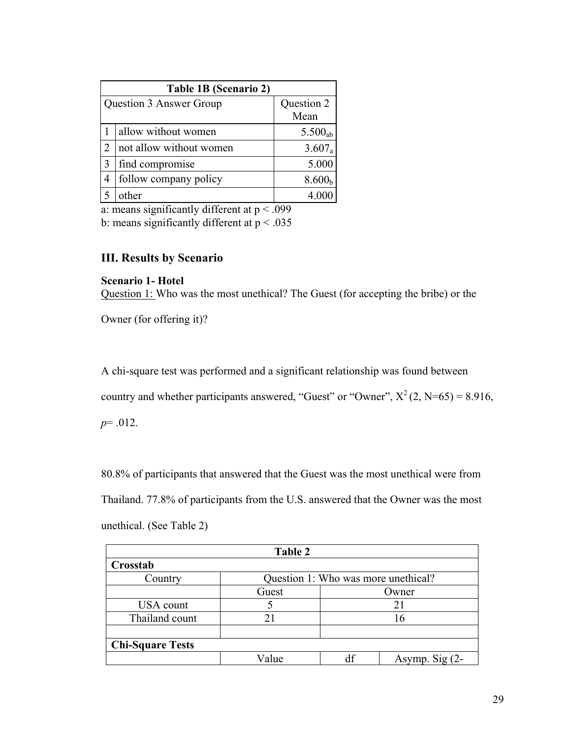|   | Table 1B (Scenario 2)   |                     |  |  |
|---|-------------------------|---------------------|--|--|
|   | Question 3 Answer Group | Question 2          |  |  |
|   |                         | Mean                |  |  |
|   | allow without women     | 5.500 <sub>ab</sub> |  |  |
|   | not allow without women | 3.607a              |  |  |
| 3 | find compromise         | 5.000               |  |  |
| 4 | follow company policy   | 8.600 <sub>b</sub>  |  |  |
|   | other                   |                     |  |  |

a: means significantly different at  $p < .099$ 

b: means significantly different at  $p < .035$ 

## <span id="page-31-0"></span>**III. Results by Scenario**

<span id="page-31-1"></span>**Scenario 1- Hotel** Question 1: Who was the most unethical? The Guest (for accepting the bribe) or the

Owner (for offering it)?

A chi-square test was performed and a significant relationship was found between

country and whether participants answered, "Guest" or "Owner",  $X^2(2, N=65) = 8.916$ ,

*p*= .012.

80.8% of participants that answered that the Guest was the most unethical were from Thailand. 77.8% of participants from the U.S. answered that the Owner was the most

unethical. (See Table 2)

| Table 2                                        |          |  |                  |  |  |
|------------------------------------------------|----------|--|------------------|--|--|
| Crosstab                                       |          |  |                  |  |  |
| Question 1: Who was more unethical?<br>Country |          |  |                  |  |  |
| Guest<br>Owner                                 |          |  |                  |  |  |
| USA count                                      |          |  | 21               |  |  |
| Thailand count                                 | 21<br>16 |  |                  |  |  |
| <b>Chi-Square Tests</b>                        |          |  |                  |  |  |
|                                                | Value    |  | Asymp. Sig $(2-$ |  |  |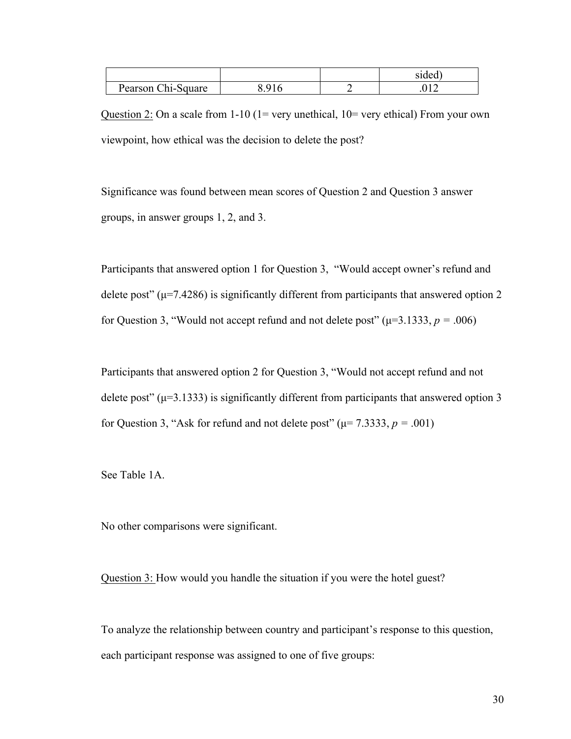|                    |                | sided  |
|--------------------|----------------|--------|
| Pearson Chi-Square | Q <sub>1</sub> | $\sim$ |

Question 2: On a scale from  $1-10$  (1= very unethical, 10= very ethical) From your own viewpoint, how ethical was the decision to delete the post?

Significance was found between mean scores of Question 2 and Question 3 answer groups, in answer groups 1, 2, and 3.

Participants that answered option 1 for Question 3, "Would accept owner's refund and delete post" ( $\mu$ =7.4286) is significantly different from participants that answered option 2 for Question 3, "Would not accept refund and not delete post" ( $\mu$ =3.1333, *p* = .006)

Participants that answered option 2 for Question 3, "Would not accept refund and not delete post" ( $\mu$ =3.1333) is significantly different from participants that answered option 3 for Question 3, "Ask for refund and not delete post" ( $\mu$ = 7.3333, *p* = .001)

See Table 1A.

No other comparisons were significant.

Question 3: How would you handle the situation if you were the hotel guest?

To analyze the relationship between country and participant's response to this question, each participant response was assigned to one of five groups: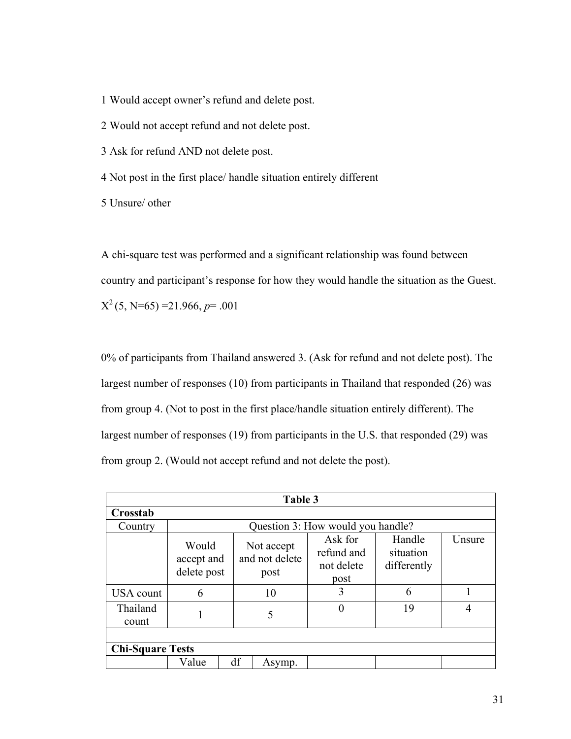1 Would accept owner's refund and delete post.

2 Would not accept refund and not delete post.

3 Ask for refund AND not delete post.

4 Not post in the first place/ handle situation entirely different

5 Unsure/ other

A chi-square test was performed and a significant relationship was found between country and participant's response for how they would handle the situation as the Guest.  $X^2$ (5, N=65) = 21.966, *p*= .001

0% of participants from Thailand answered 3. (Ask for refund and not delete post). The largest number of responses (10) from participants in Thailand that responded (26) was from group 4. (Not to post in the first place/handle situation entirely different). The largest number of responses (19) from participants in the U.S. that responded (29) was from group 2. (Would not accept refund and not delete the post).

| Table 3                 |                                    |    |                                      |                                             |                                    |        |
|-------------------------|------------------------------------|----|--------------------------------------|---------------------------------------------|------------------------------------|--------|
| Crosstab                |                                    |    |                                      |                                             |                                    |        |
| Country                 |                                    |    |                                      | Question 3: How would you handle?           |                                    |        |
|                         | Would<br>accept and<br>delete post |    | Not accept<br>and not delete<br>post | Ask for<br>refund and<br>not delete<br>post | Handle<br>situation<br>differently | Unsure |
| <b>USA</b> count        | 6                                  |    | 10                                   | 3                                           | 6                                  |        |
| Thailand<br>count       |                                    |    | 5                                    |                                             | 19                                 | 4      |
|                         |                                    |    |                                      |                                             |                                    |        |
| <b>Chi-Square Tests</b> |                                    |    |                                      |                                             |                                    |        |
|                         | Value                              | df | Asymp.                               |                                             |                                    |        |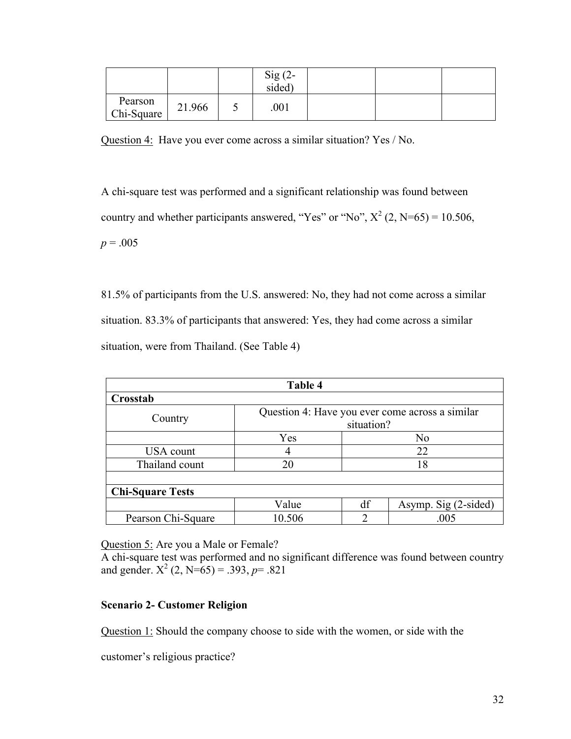|                       |        | $Sig(2-$<br>sided) |  |  |
|-----------------------|--------|--------------------|--|--|
| Pearson<br>Chi-Square | 21.966 | .001               |  |  |

Question 4: Have you ever come across a similar situation? Yes / No.

A chi-square test was performed and a significant relationship was found between country and whether participants answered, "Yes" or "No",  $X^2$  (2, N=65) = 10.506,  $p = .005$ 

81.5% of participants from the U.S. answered: No, they had not come across a similar situation. 83.3% of participants that answered: Yes, they had come across a similar situation, were from Thailand. (See Table 4)

| Table 4                 |                                                 |    |                      |  |  |
|-------------------------|-------------------------------------------------|----|----------------------|--|--|
| Crosstab                |                                                 |    |                      |  |  |
|                         | Question 4: Have you ever come across a similar |    |                      |  |  |
| Country                 | situation?                                      |    |                      |  |  |
|                         | Yes                                             |    | N <sub>0</sub>       |  |  |
| USA count               | 4                                               | 22 |                      |  |  |
| Thailand count          | 20                                              | 18 |                      |  |  |
|                         |                                                 |    |                      |  |  |
| <b>Chi-Square Tests</b> |                                                 |    |                      |  |  |
|                         | Value                                           | df | Asymp. Sig (2-sided) |  |  |
| Pearson Chi-Square      | 10.506                                          | ↑  | .005                 |  |  |

Question 5: Are you a Male or Female?

A chi-square test was performed and no significant difference was found between country and gender.  $X^2$  (2, N=65) = .393, *p*= .821

## <span id="page-34-0"></span>**Scenario 2- Customer Religion**

Question 1: Should the company choose to side with the women, or side with the

customer's religious practice?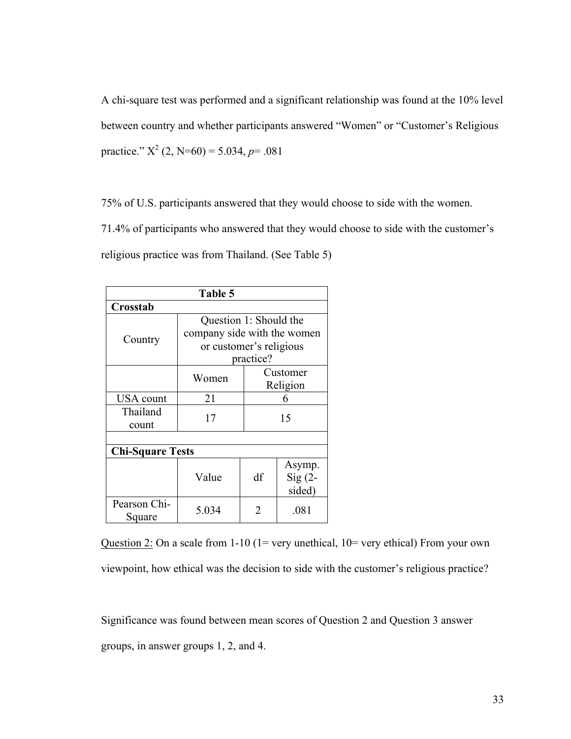A chi-square test was performed and a significant relationship was found at the 10% level between country and whether participants answered "Women" or "Customer's Religious practice."  $X^2$  (2, N=60) = 5.034, *p*= .081

75% of U.S. participants answered that they would choose to side with the women. 71.4% of participants who answered that they would choose to side with the customer's religious practice was from Thailand. (See Table 5)

| Table 5                 |                             |          |                    |  |  |
|-------------------------|-----------------------------|----------|--------------------|--|--|
| Crosstab                |                             |          |                    |  |  |
|                         | Question 1: Should the      |          |                    |  |  |
|                         | company side with the women |          |                    |  |  |
| Country                 | or customer's religious     |          |                    |  |  |
|                         | practice?                   |          |                    |  |  |
|                         | Women                       | Customer |                    |  |  |
|                         |                             | Religion |                    |  |  |
| <b>USA</b> count        | 21                          |          | 6                  |  |  |
| Thailand                | 17                          | 15       |                    |  |  |
| count                   |                             |          |                    |  |  |
|                         |                             |          |                    |  |  |
| <b>Chi-Square Tests</b> |                             |          |                    |  |  |
|                         |                             |          | Asymp.             |  |  |
|                         | Value                       | df       | $\mathrm{Sig}$ (2- |  |  |
|                         |                             |          | sided)             |  |  |
| Pearson Chi-<br>Square  | 5.034                       | 2        | .081               |  |  |

Question 2: On a scale from  $1-10$  ( $1=$  very unethical,  $10=$  very ethical) From your own viewpoint, how ethical was the decision to side with the customer's religious practice?

Significance was found between mean scores of Question 2 and Question 3 answer groups, in answer groups 1, 2, and 4.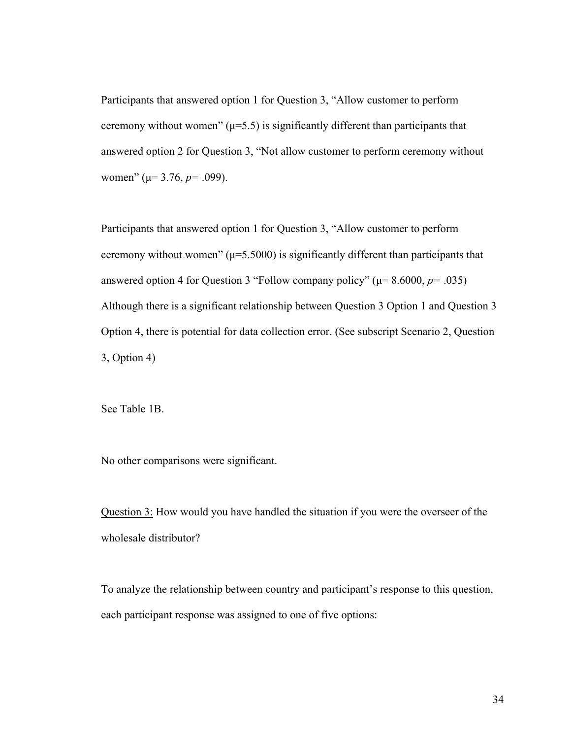Participants that answered option 1 for Question 3, "Allow customer to perform ceremony without women"  $(\mu=5.5)$  is significantly different than participants that answered option 2 for Question 3, "Not allow customer to perform ceremony without women" (µ= 3.76, *p=* .099).

Participants that answered option 1 for Question 3, "Allow customer to perform ceremony without women"  $(\mu=5.5000)$  is significantly different than participants that answered option 4 for Question 3 "Follow company policy" ( $\mu$  = 8.6000,  $p$  = .035) Although there is a significant relationship between Question 3 Option 1 and Question 3 Option 4, there is potential for data collection error. (See subscript Scenario 2, Question 3, Option 4)

See Table 1B.

No other comparisons were significant.

Question 3: How would you have handled the situation if you were the overseer of the wholesale distributor?

To analyze the relationship between country and participant's response to this question, each participant response was assigned to one of five options: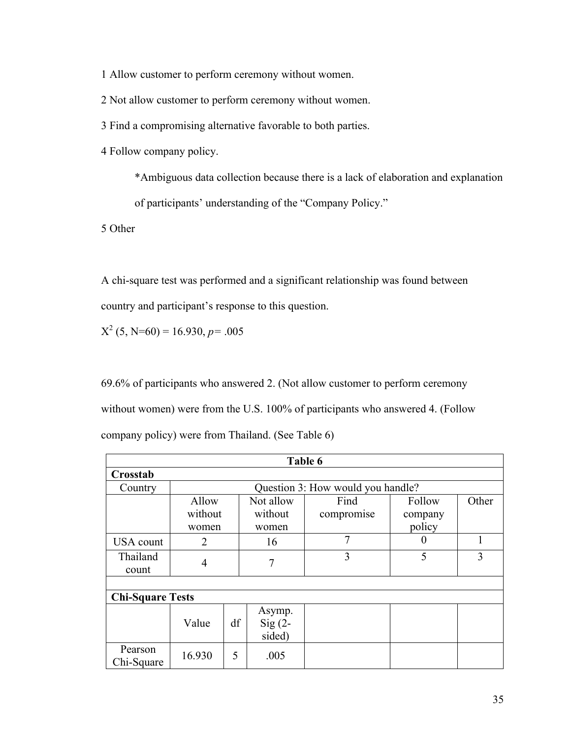1 Allow customer to perform ceremony without women.

2 Not allow customer to perform ceremony without women.

3 Find a compromising alternative favorable to both parties.

4 Follow company policy.

\*Ambiguous data collection because there is a lack of elaboration and explanation

of participants' understanding of the "Company Policy."

5 Other

A chi-square test was performed and a significant relationship was found between country and participant's response to this question.

 $X^2$  (5, N=60) = 16.930, *p*= .005

69.6% of participants who answered 2. (Not allow customer to perform ceremony without women) were from the U.S. 100% of participants who answered 4. (Follow company policy) were from Thailand. (See Table 6)

| Table 6                 |                                   |    |                              |            |          |       |  |
|-------------------------|-----------------------------------|----|------------------------------|------------|----------|-------|--|
| Crosstab                |                                   |    |                              |            |          |       |  |
| Country                 | Question 3: How would you handle? |    |                              |            |          |       |  |
|                         | Allow                             |    | Not allow                    | Find       | Follow   | Other |  |
|                         | without                           |    | without                      | compromise | company  |       |  |
|                         | women                             |    | women                        |            | policy   |       |  |
| <b>USA</b> count        | $\overline{2}$                    |    | 16                           | 7          | $\theta$ |       |  |
| Thailand<br>count       | $\overline{4}$                    |    | 7                            | 3          | 5        | 3     |  |
|                         |                                   |    |                              |            |          |       |  |
| <b>Chi-Square Tests</b> |                                   |    |                              |            |          |       |  |
|                         | Value                             | df | Asymp.<br>$Sig(2-$<br>sided) |            |          |       |  |
| Pearson<br>Chi-Square   | 16.930                            | 5  | .005                         |            |          |       |  |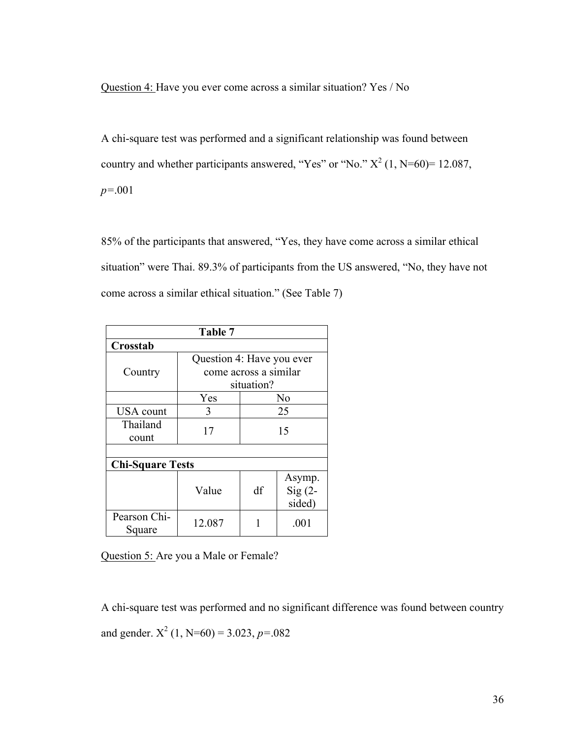Question 4: Have you ever come across a similar situation? Yes / No

A chi-square test was performed and a significant relationship was found between country and whether participants answered, "Yes" or "No."  $X^2$  (1, N=60)= 12.087, *p=*.001

85% of the participants that answered, "Yes, they have come across a similar ethical situation" were Thai. 89.3% of participants from the US answered, "No, they have not come across a similar ethical situation." (See Table 7)

| Table 7                 |                           |                |          |  |  |  |
|-------------------------|---------------------------|----------------|----------|--|--|--|
| Crosstab                |                           |                |          |  |  |  |
|                         | Question 4: Have you ever |                |          |  |  |  |
| Country                 | come across a similar     |                |          |  |  |  |
|                         | situation?                |                |          |  |  |  |
|                         | Yes                       | N <sub>0</sub> |          |  |  |  |
| <b>USA</b> count        | 3                         | 25             |          |  |  |  |
| Thailand                |                           | 17<br>15       |          |  |  |  |
| count                   |                           |                |          |  |  |  |
|                         |                           |                |          |  |  |  |
| <b>Chi-Square Tests</b> |                           |                |          |  |  |  |
|                         |                           |                | Asymp.   |  |  |  |
|                         | Value                     | df             | $Sig(2-$ |  |  |  |
|                         |                           |                | sided)   |  |  |  |
| Pearson Chi-<br>Square  | 12.087                    |                | .001     |  |  |  |

Question 5: Are you a Male or Female?

A chi-square test was performed and no significant difference was found between country and gender.  $X^2$  (1, N=60) = 3.023, *p*=.082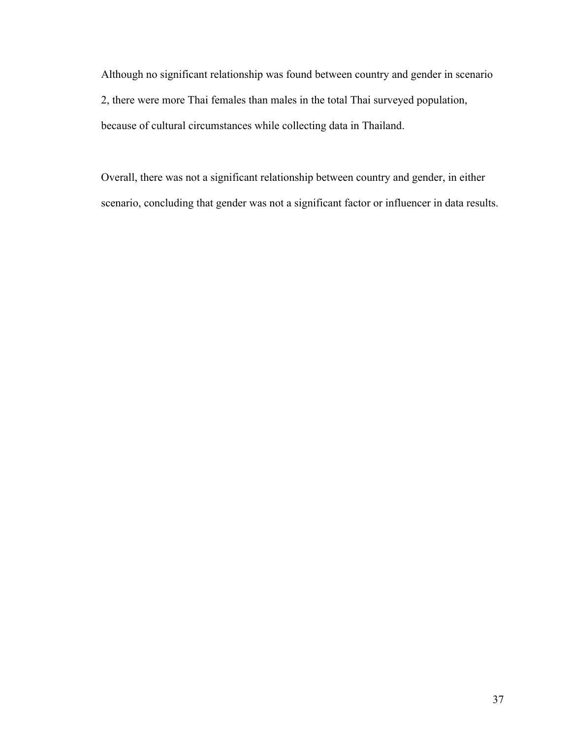Although no significant relationship was found between country and gender in scenario 2, there were more Thai females than males in the total Thai surveyed population, because of cultural circumstances while collecting data in Thailand.

Overall, there was not a significant relationship between country and gender, in either scenario, concluding that gender was not a significant factor or influencer in data results.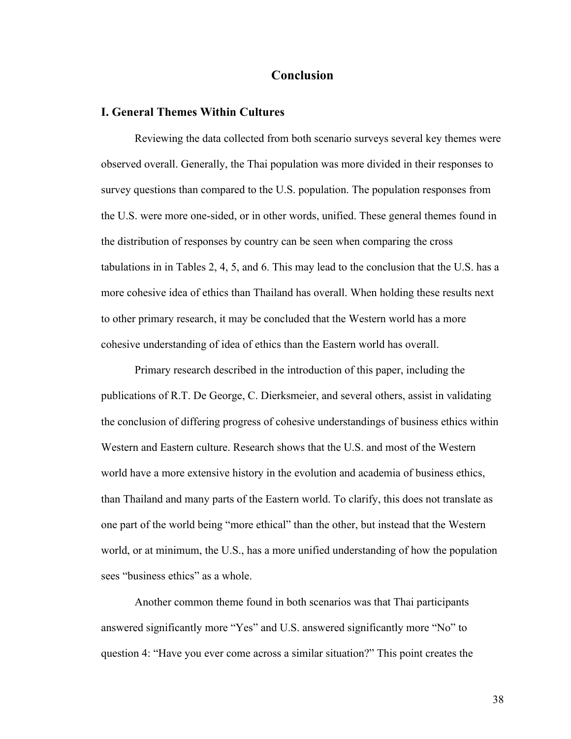## <span id="page-40-0"></span>**Conclusion**

#### <span id="page-40-1"></span>**I. General Themes Within Cultures**

Reviewing the data collected from both scenario surveys several key themes were observed overall. Generally, the Thai population was more divided in their responses to survey questions than compared to the U.S. population. The population responses from the U.S. were more one-sided, or in other words, unified. These general themes found in the distribution of responses by country can be seen when comparing the cross tabulations in in Tables 2, 4, 5, and 6. This may lead to the conclusion that the U.S. has a more cohesive idea of ethics than Thailand has overall. When holding these results next to other primary research, it may be concluded that the Western world has a more cohesive understanding of idea of ethics than the Eastern world has overall.

Primary research described in the introduction of this paper, including the publications of R.T. De George, C. Dierksmeier, and several others, assist in validating the conclusion of differing progress of cohesive understandings of business ethics within Western and Eastern culture. Research shows that the U.S. and most of the Western world have a more extensive history in the evolution and academia of business ethics, than Thailand and many parts of the Eastern world. To clarify, this does not translate as one part of the world being "more ethical" than the other, but instead that the Western world, or at minimum, the U.S., has a more unified understanding of how the population sees "business ethics" as a whole.

Another common theme found in both scenarios was that Thai participants answered significantly more "Yes" and U.S. answered significantly more "No" to question 4: "Have you ever come across a similar situation?" This point creates the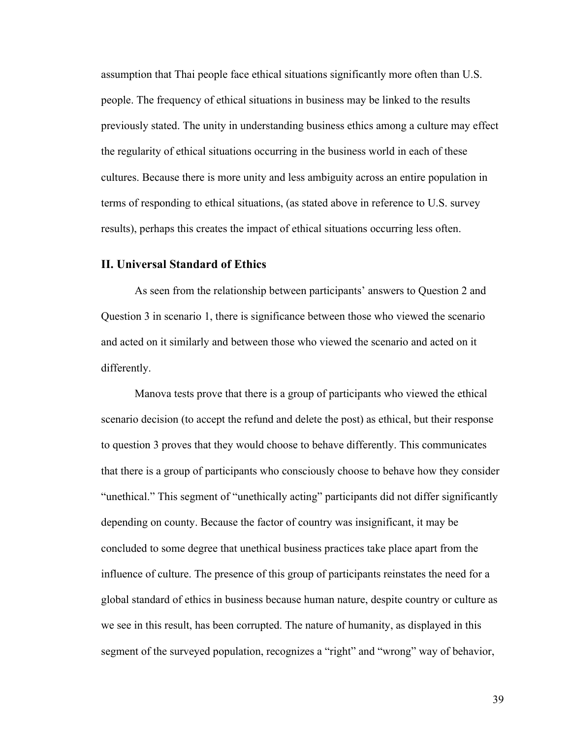assumption that Thai people face ethical situations significantly more often than U.S. people. The frequency of ethical situations in business may be linked to the results previously stated. The unity in understanding business ethics among a culture may effect the regularity of ethical situations occurring in the business world in each of these cultures. Because there is more unity and less ambiguity across an entire population in terms of responding to ethical situations, (as stated above in reference to U.S. survey results), perhaps this creates the impact of ethical situations occurring less often.

#### <span id="page-41-0"></span>**II. Universal Standard of Ethics**

As seen from the relationship between participants' answers to Question 2 and Question 3 in scenario 1, there is significance between those who viewed the scenario and acted on it similarly and between those who viewed the scenario and acted on it differently.

Manova tests prove that there is a group of participants who viewed the ethical scenario decision (to accept the refund and delete the post) as ethical, but their response to question 3 proves that they would choose to behave differently. This communicates that there is a group of participants who consciously choose to behave how they consider "unethical." This segment of "unethically acting" participants did not differ significantly depending on county. Because the factor of country was insignificant, it may be concluded to some degree that unethical business practices take place apart from the influence of culture. The presence of this group of participants reinstates the need for a global standard of ethics in business because human nature, despite country or culture as we see in this result, has been corrupted. The nature of humanity, as displayed in this segment of the surveyed population, recognizes a "right" and "wrong" way of behavior,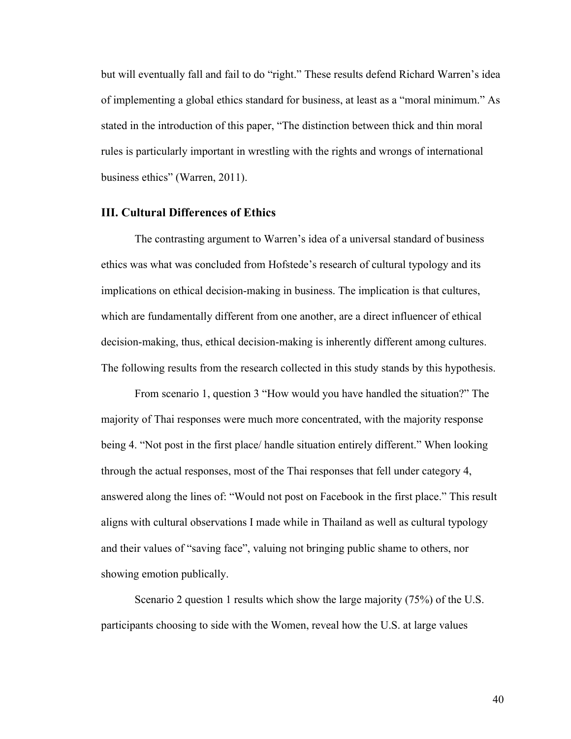but will eventually fall and fail to do "right." These results defend Richard Warren's idea of implementing a global ethics standard for business, at least as a "moral minimum." As stated in the introduction of this paper, "The distinction between thick and thin moral rules is particularly important in wrestling with the rights and wrongs of international business ethics" (Warren, 2011).

### <span id="page-42-0"></span>**III. Cultural Differences of Ethics**

The contrasting argument to Warren's idea of a universal standard of business ethics was what was concluded from Hofstede's research of cultural typology and its implications on ethical decision-making in business. The implication is that cultures, which are fundamentally different from one another, are a direct influencer of ethical decision-making, thus, ethical decision-making is inherently different among cultures. The following results from the research collected in this study stands by this hypothesis.

From scenario 1, question 3 "How would you have handled the situation?" The majority of Thai responses were much more concentrated, with the majority response being 4. "Not post in the first place/ handle situation entirely different." When looking through the actual responses, most of the Thai responses that fell under category 4, answered along the lines of: "Would not post on Facebook in the first place." This result aligns with cultural observations I made while in Thailand as well as cultural typology and their values of "saving face", valuing not bringing public shame to others, nor showing emotion publically.

Scenario 2 question 1 results which show the large majority (75%) of the U.S. participants choosing to side with the Women, reveal how the U.S. at large values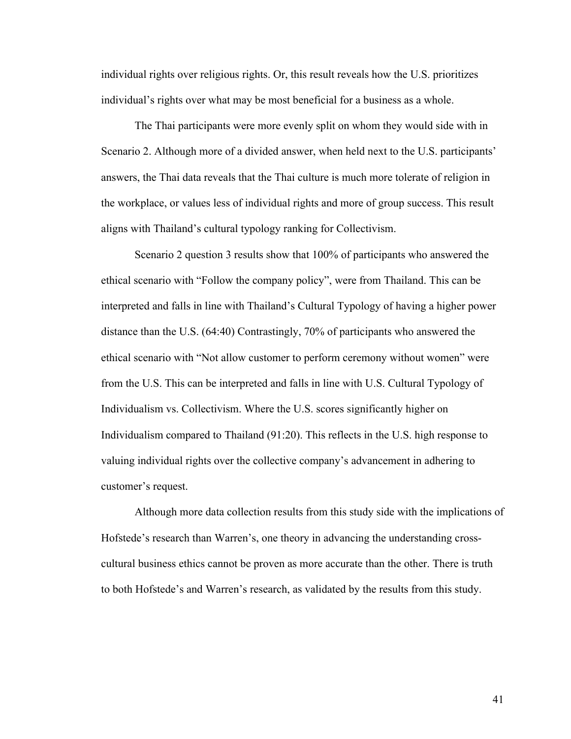individual rights over religious rights. Or, this result reveals how the U.S. prioritizes individual's rights over what may be most beneficial for a business as a whole.

The Thai participants were more evenly split on whom they would side with in Scenario 2. Although more of a divided answer, when held next to the U.S. participants' answers, the Thai data reveals that the Thai culture is much more tolerate of religion in the workplace, or values less of individual rights and more of group success. This result aligns with Thailand's cultural typology ranking for Collectivism.

Scenario 2 question 3 results show that 100% of participants who answered the ethical scenario with "Follow the company policy", were from Thailand. This can be interpreted and falls in line with Thailand's Cultural Typology of having a higher power distance than the U.S. (64:40) Contrastingly, 70% of participants who answered the ethical scenario with "Not allow customer to perform ceremony without women" were from the U.S. This can be interpreted and falls in line with U.S. Cultural Typology of Individualism vs. Collectivism. Where the U.S. scores significantly higher on Individualism compared to Thailand (91:20). This reflects in the U.S. high response to valuing individual rights over the collective company's advancement in adhering to customer's request.

Although more data collection results from this study side with the implications of Hofstede's research than Warren's, one theory in advancing the understanding crosscultural business ethics cannot be proven as more accurate than the other. There is truth to both Hofstede's and Warren's research, as validated by the results from this study.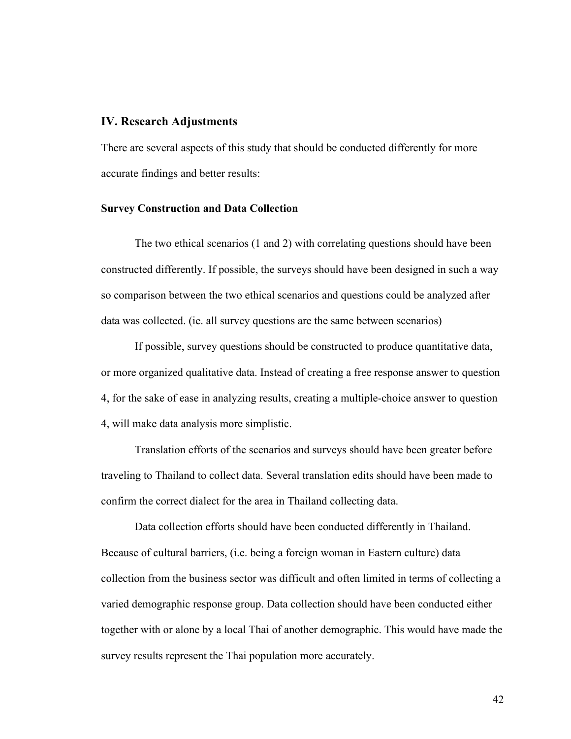#### <span id="page-44-0"></span>**IV. Research Adjustments**

There are several aspects of this study that should be conducted differently for more accurate findings and better results:

#### <span id="page-44-1"></span>**Survey Construction and Data Collection**

The two ethical scenarios (1 and 2) with correlating questions should have been constructed differently. If possible, the surveys should have been designed in such a way so comparison between the two ethical scenarios and questions could be analyzed after data was collected. (ie. all survey questions are the same between scenarios)

If possible, survey questions should be constructed to produce quantitative data, or more organized qualitative data. Instead of creating a free response answer to question 4, for the sake of ease in analyzing results, creating a multiple-choice answer to question 4, will make data analysis more simplistic.

Translation efforts of the scenarios and surveys should have been greater before traveling to Thailand to collect data. Several translation edits should have been made to confirm the correct dialect for the area in Thailand collecting data.

Data collection efforts should have been conducted differently in Thailand. Because of cultural barriers, (i.e. being a foreign woman in Eastern culture) data collection from the business sector was difficult and often limited in terms of collecting a varied demographic response group. Data collection should have been conducted either together with or alone by a local Thai of another demographic. This would have made the survey results represent the Thai population more accurately.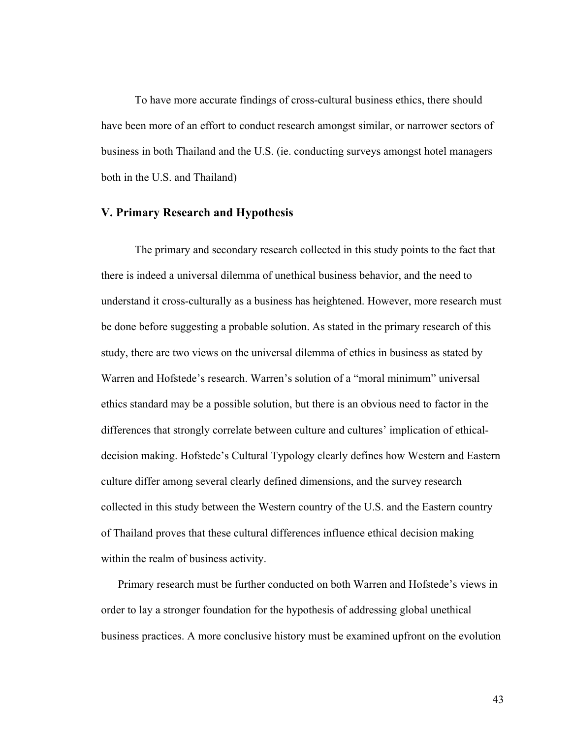To have more accurate findings of cross-cultural business ethics, there should have been more of an effort to conduct research amongst similar, or narrower sectors of business in both Thailand and the U.S. (ie. conducting surveys amongst hotel managers both in the U.S. and Thailand)

## <span id="page-45-0"></span>**V. Primary Research and Hypothesis**

The primary and secondary research collected in this study points to the fact that there is indeed a universal dilemma of unethical business behavior, and the need to understand it cross-culturally as a business has heightened. However, more research must be done before suggesting a probable solution. As stated in the primary research of this study, there are two views on the universal dilemma of ethics in business as stated by Warren and Hofstede's research. Warren's solution of a "moral minimum" universal ethics standard may be a possible solution, but there is an obvious need to factor in the differences that strongly correlate between culture and cultures' implication of ethicaldecision making. Hofstede's Cultural Typology clearly defines how Western and Eastern culture differ among several clearly defined dimensions, and the survey research collected in this study between the Western country of the U.S. and the Eastern country of Thailand proves that these cultural differences influence ethical decision making within the realm of business activity.

Primary research must be further conducted on both Warren and Hofstede's views in order to lay a stronger foundation for the hypothesis of addressing global unethical business practices. A more conclusive history must be examined upfront on the evolution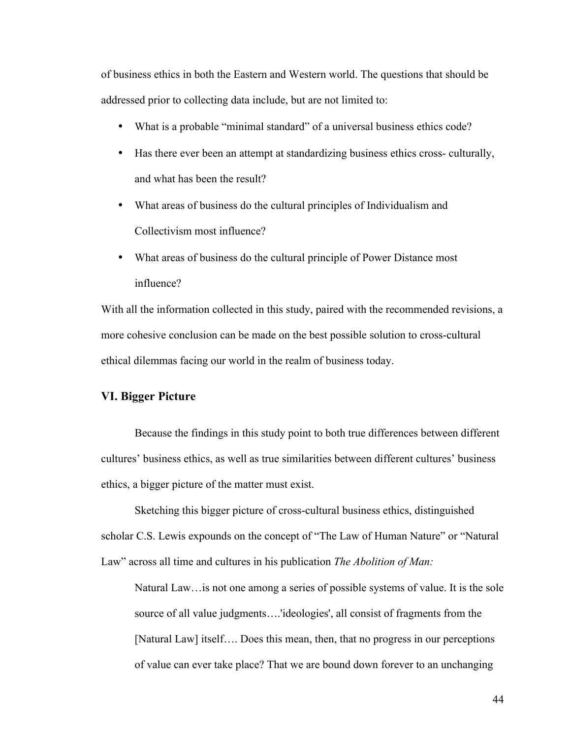of business ethics in both the Eastern and Western world. The questions that should be addressed prior to collecting data include, but are not limited to:

- What is a probable "minimal standard" of a universal business ethics code?
- Has there ever been an attempt at standardizing business ethics cross- culturally, and what has been the result?
- What areas of business do the cultural principles of Individualism and Collectivism most influence?
- What areas of business do the cultural principle of Power Distance most influence?

With all the information collected in this study, paired with the recommended revisions, a more cohesive conclusion can be made on the best possible solution to cross-cultural ethical dilemmas facing our world in the realm of business today.

## <span id="page-46-0"></span>**VI. Bigger Picture**

Because the findings in this study point to both true differences between different cultures' business ethics, as well as true similarities between different cultures' business ethics, a bigger picture of the matter must exist.

Sketching this bigger picture of cross-cultural business ethics, distinguished scholar C.S. Lewis expounds on the concept of "The Law of Human Nature" or "Natural Law" across all time and cultures in his publication *The Abolition of Man:*

Natural Law…is not one among a series of possible systems of value. It is the sole source of all value judgments….'ideologies', all consist of fragments from the [Natural Law] itself…. Does this mean, then, that no progress in our perceptions of value can ever take place? That we are bound down forever to an unchanging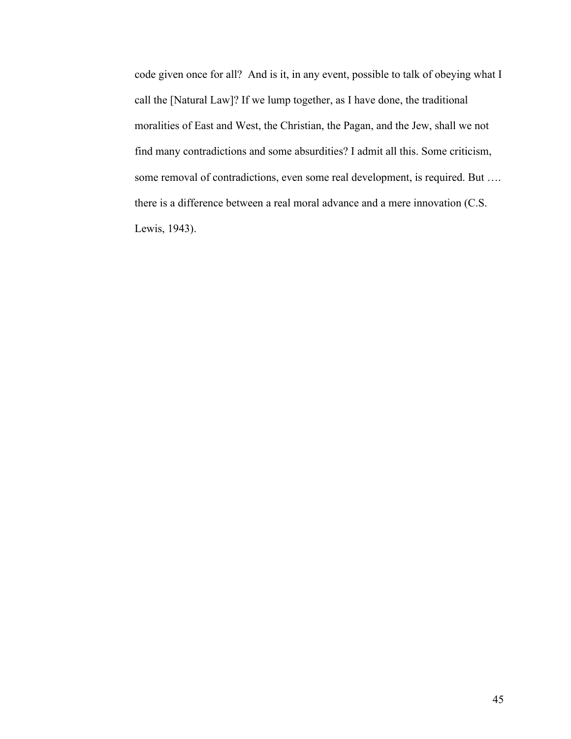code given once for all? And is it, in any event, possible to talk of obeying what I call the [Natural Law]? If we lump together, as I have done, the traditional moralities of East and West, the Christian, the Pagan, and the Jew, shall we not find many contradictions and some absurdities? I admit all this. Some criticism, some removal of contradictions, even some real development, is required. But .... there is a difference between a real moral advance and a mere innovation (C.S. Lewis, 1943).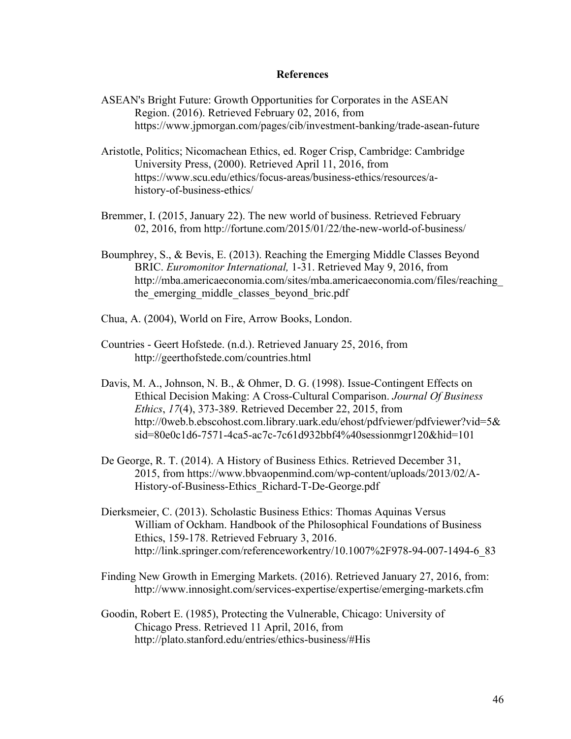#### **References**

- ASEAN's Bright Future: Growth Opportunities for Corporates in the ASEAN Region. (2016). Retrieved February 02, 2016, from https://www.jpmorgan.com/pages/cib/investment-banking/trade-asean-future
- Aristotle, Politics; Nicomachean Ethics, ed. Roger Crisp, Cambridge: Cambridge University Press, (2000). Retrieved April 11, 2016, from https://www.scu.edu/ethics/focus-areas/business-ethics/resources/ahistory-of-business-ethics/
- Bremmer, I. (2015, January 22). The new world of business. Retrieved February 02, 2016, from http://fortune.com/2015/01/22/the-new-world-of-business/
- Boumphrey, S., & Bevis, E. (2013). Reaching the Emerging Middle Classes Beyond BRIC. *Euromonitor International,* 1-31. Retrieved May 9, 2016, from http://mba.americaeconomia.com/sites/mba.americaeconomia.com/files/reaching\_ the emerging middle classes beyond bric.pdf
- Chua, A. (2004), World on Fire, Arrow Books, London.
- Countries Geert Hofstede. (n.d.). Retrieved January 25, 2016, from http://geerthofstede.com/countries.html
- Davis, M. A., Johnson, N. B., & Ohmer, D. G. (1998). Issue-Contingent Effects on Ethical Decision Making: A Cross-Cultural Comparison. *Journal Of Business Ethics*, *17*(4), 373-389. Retrieved December 22, 2015, from http://0web.b.ebscohost.com.library.uark.edu/ehost/pdfviewer/pdfviewer?vid=5& sid=80e0c1d6-7571-4ca5-ac7c-7c61d932bbf4%40sessionmgr120&hid=101
- De George, R. T. (2014). A History of Business Ethics. Retrieved December 31, 2015, from https://www.bbvaopenmind.com/wp-content/uploads/2013/02/A-History-of-Business-Ethics\_Richard-T-De-George.pdf
- Dierksmeier, C. (2013). Scholastic Business Ethics: Thomas Aquinas Versus William of Ockham. Handbook of the Philosophical Foundations of Business Ethics, 159-178. Retrieved February 3, 2016. http://link.springer.com/referenceworkentry/10.1007%2F978-94-007-1494-6\_83
- Finding New Growth in Emerging Markets. (2016). Retrieved January 27, 2016, from: http://www.innosight.com/services-expertise/expertise/emerging-markets.cfm
- Goodin, Robert E. (1985), Protecting the Vulnerable, Chicago: University of Chicago Press. Retrieved 11 April, 2016, from http://plato.stanford.edu/entries/ethics-business/#His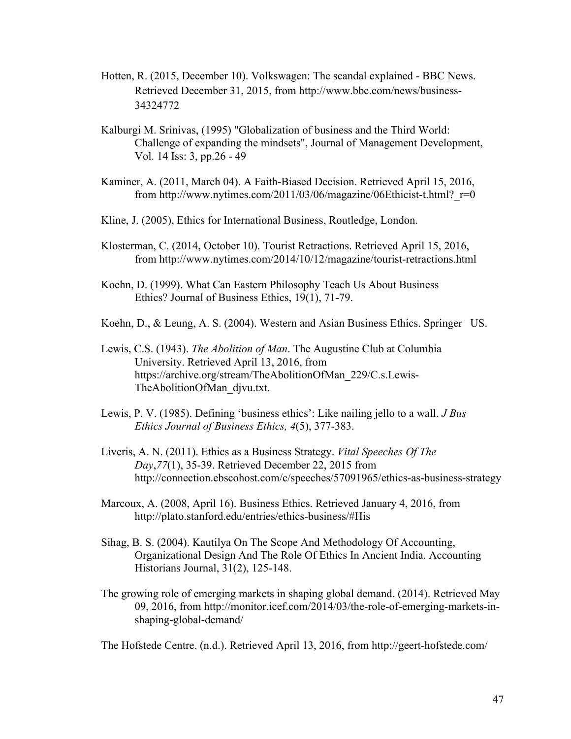- Hotten, R. (2015, December 10). Volkswagen: The scandal explained BBC News. Retrieved December 31, 2015, from http://www.bbc.com/news/business-34324772
- Kalburgi M. Srinivas, (1995) "Globalization of business and the Third World: Challenge of expanding the mindsets", Journal of Management Development, Vol. 14 Iss: 3, pp.26 - 49
- Kaminer, A. (2011, March 04). A Faith-Biased Decision. Retrieved April 15, 2016, from http://www.nytimes.com/2011/03/06/magazine/06Ethicist-t.html? $r=0$
- Kline, J. (2005), Ethics for International Business, Routledge, London.
- Klosterman, C. (2014, October 10). Tourist Retractions. Retrieved April 15, 2016, from http://www.nytimes.com/2014/10/12/magazine/tourist-retractions.html
- Koehn, D. (1999). What Can Eastern Philosophy Teach Us About Business Ethics? Journal of Business Ethics, 19(1), 71-79.
- Koehn, D., & Leung, A. S. (2004). Western and Asian Business Ethics. Springer US.
- Lewis, C.S. (1943). *The Abolition of Man*. The Augustine Club at Columbia University. Retrieved April 13, 2016, from https://archive.org/stream/TheAbolitionOfMan\_229/C.s.Lewis-TheAbolitionOfMan\_djvu.txt.
- Lewis, P. V. (1985). Defining 'business ethics': Like nailing jello to a wall. *J Bus Ethics Journal of Business Ethics, 4*(5), 377-383.
- Liveris, A. N. (2011). Ethics as a Business Strategy. *Vital Speeches Of The Day*,*77*(1), 35-39. Retrieved December 22, 2015 from http://connection.ebscohost.com/c/speeches/57091965/ethics-as-business-strategy
- Marcoux, A. (2008, April 16). Business Ethics. Retrieved January 4, 2016, from http://plato.stanford.edu/entries/ethics-business/#His
- Sihag, B. S. (2004). Kautilya On The Scope And Methodology Of Accounting, Organizational Design And The Role Of Ethics In Ancient India. Accounting Historians Journal, 31(2), 125-148.
- The growing role of emerging markets in shaping global demand. (2014). Retrieved May 09, 2016, from http://monitor.icef.com/2014/03/the-role-of-emerging-markets-inshaping-global-demand/

The Hofstede Centre. (n.d.). Retrieved April 13, 2016, from http://geert-hofstede.com/